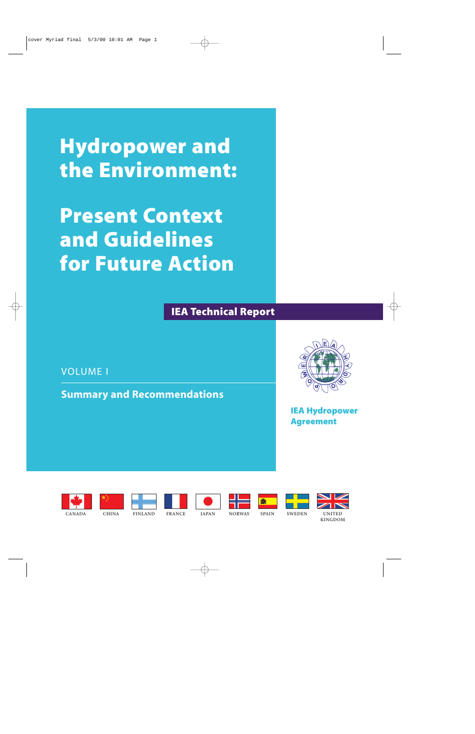**Hydropower and the Environment:**

**Present Context and Guidelines for Future Action**

**IEA Technical Report**

VOLUME I

**Summary and Recommendations**



**IEA Hydropower Agreement**



















**CANADA**

**CHINA FINLAND FRANCE JAPAN NORWAY SPAIN SWEDEN UNITED**

**KINGDOM**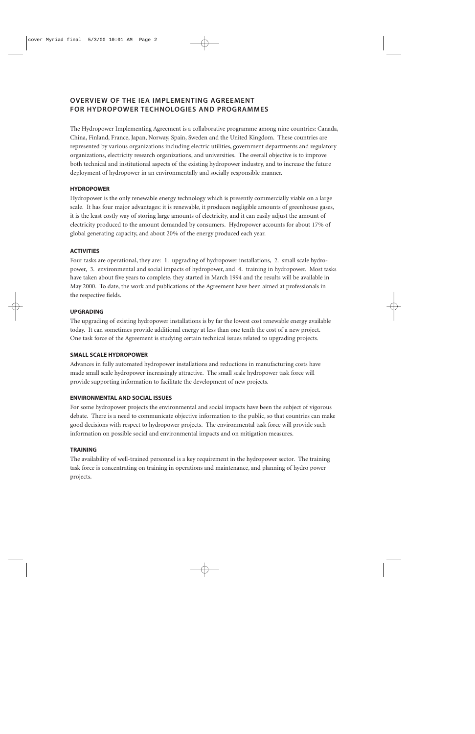## **OVERVIEW OF THE IEA IMPLEMENTING AGREEMENT FOR HYDROPOWER TECHNOLOGIES AND PROGRAMMES**

The Hydropower Implementing Agreement is a collaborative programme among nine countries: Canada, China, Finland, France, Japan, Norway, Spain, Sweden and the United Kingdom. These countries are represented by various organizations including electric utilities, government departments and regulatory organizations, electricity research organizations, and universities. The overall objective is to improve both technical and institutional aspects of the existing hydropower industry, and to increase the future deployment of hydropower in an environmentally and socially responsible manner.

## **HYDROPOWER**

Hydropower is the only renewable energy technology which is presently commercially viable on a large scale. It has four major advantages: it is renewable, it produces negligible amounts of greenhouse gases, it is the least costly way of storing large amounts of electricity, and it can easily adjust the amount of electricity produced to the amount demanded by consumers. Hydropower accounts for about 17% of global generating capacity, and about 20% of the energy produced each year.

#### **ACTIVITIES**

Four tasks are operational, they are: 1. upgrading of hydropower installations, 2. small scale hydropower, 3. environmental and social impacts of hydropower, and 4. training in hydropower. Most tasks have taken about five years to complete, they started in March 1994 and the results will be available in May 2000. To date, the work and publications of the Agreement have been aimed at professionals in the respective fields.

#### **UPGRADING**

The upgrading of existing hydropower installations is by far the lowest cost renewable energy available today. It can sometimes provide additional energy at less than one tenth the cost of a new project. One task force of the Agreement is studying certain technical issues related to upgrading projects.

#### **SMALL SCALE HYDROPOWER**

Advances in fully automated hydropower installations and reductions in manufacturing costs have made small scale hydropower increasingly attractive. The small scale hydropower task force will provide supporting information to facilitate the development of new projects.

#### **ENVIRONMENTAL AND SOCIAL ISSUES**

For some hydropower projects the environmental and social impacts have been the subject of vigorous debate. There is a need to communicate objective information to the public, so that countries can make good decisions with respect to hydropower projects. The environmental task force will provide such information on possible social and environmental impacts and on mitigation measures.

#### **TRAINING**

The availability of well-trained personnel is a key requirement in the hydropower sector. The training task force is concentrating on training in operations and maintenance, and planning of hydro power projects.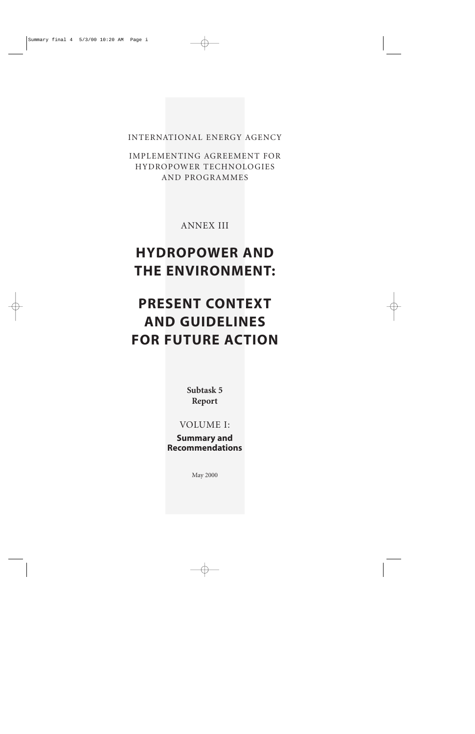INTERNATIONAL ENERGY AGENCY

IMPLEMENTING AGREEMENT FOR HYDROPOWER TECHNOLOGIES AND PROGRAMMES

ANNEX III

# **HYDROPOWER AND THE ENVIRONMENT:**

# **PRESENT CONTEXT AND GUIDELINES FOR FUTURE ACTION**

**Subtask 5 Report**

VOLUME I:

**Summary and Recommendations**

May 2000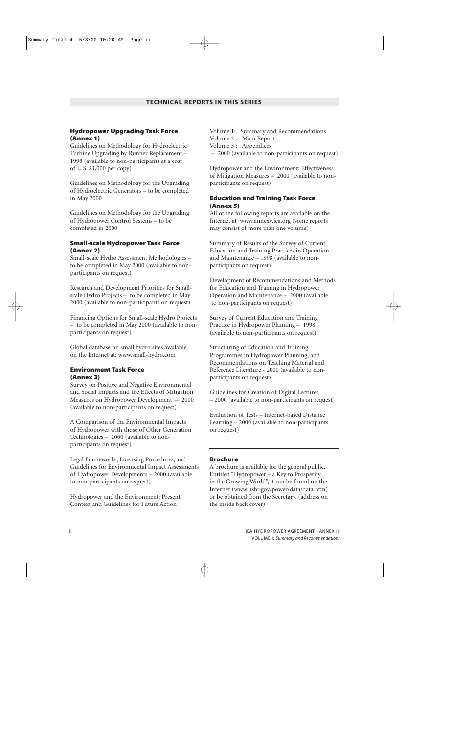#### **Hydropower Upgrading Task Force (Annex 1)**

Guidelines on Methodology for Hydroelectric Turbine Upgrading by Runner Replacement – 1998 (available to non-participants at a cost of U.S. \$1,000 per copy)

Guidelines on Methodology for the Upgrading of Hydroelectric Generators – to be completed in May 2000

Guidelines on Methodology for the Upgrading of Hydropower Control Systems – to be completed in 2000

#### **Small-scale Hydropower Task Force (Annex 2)**

Small-scale Hydro Assessment Methodologies – to be completed in May 2000 (available to nonparticipants on request)

Research and Development Priorities for Smallscale Hydro Projects – to be completed in May 2000 (available to non-participants on request)

Financing Options for Small-scale Hydro Projects – to be completed in May 2000 (available to nonparticipants on request)

Global database on small hydro sites available on the Internet at: www.small-hydro.com

#### **Environment Task Force (Annex 3)**

Survey on Positive and Negative Environmental and Social Impacts and the Effects of Mitigation Measures on Hydropower Development – 2000 (available to non-participants on request)

A Comparison of the Environmental Impacts of Hydropower with those of Other Generation Technologies – 2000 (available to nonparticipants on request)

Legal Frameworks, Licensing Procedures, and Guidelines for Environmental Impact Assessments of Hydropower Developments – 2000 (available to non-participants on request)

Hydropower and the Environment: Present Context and Guidelines for Future Action

Volume 1: Summary and Recommendations Volume 2 : Main Report Volume 3 : Appendices – 2000 (available to non-participants on request)

Hydropower and the Environment: Effectiveness of Mitigation Measures – 2000 (available to nonparticipants on request)

#### **Education and Training Task Force (Annex 5)**

All of the following reports are available on the Internet at www.annexv.iea.org (some reports may consist of more than one volume)

Summary of Results of the Survey of Current Education and Training Practices in Operation and Maintenance – 1998 (available to nonparticipants on request)

Development of Recommendations and Methods for Education and Training in Hydropower Operation and Maintenance – 2000 (available to non-participants on request)

Survey of Current Education and Training Practice in Hydropower Planning – 1998 (available to non-participants on request)

Structuring of Education and Training Programmes in Hydropower Planning, and Recommendations on Teaching Material and Reference Literature - 2000 (available to nonparticipants on request)

Guidelines for Creation of Digital Lectures – 2000 (available to non-participants on request)

Evaluation of Tests – Internet-based Distance Learning – 2000 (available to non-participants on request)

#### **Brochure**

A brochure is available for the general public. Entitled "Hydropower – a Key to Prosperity in the Growing World", it can be found on the Internet (www.usbr.gov/power/data/data.htm) or be obtained from the Secretary. (address on the inside back cover)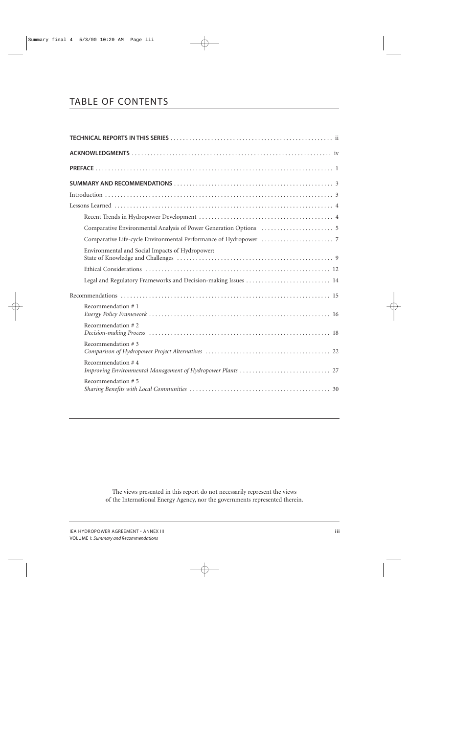# TABLE OF CONTENTS

| Environmental and Social Impacts of Hydropower: |
|-------------------------------------------------|
|                                                 |
|                                                 |
|                                                 |
| Recommendation $#1$                             |
| Recommendation #2                               |
| Recommendation #3                               |
| Recommendation #4                               |
| Recommendation #5                               |

The views presented in this report do not necessarily represent the views of the International Energy Agency, nor the governments represented therein.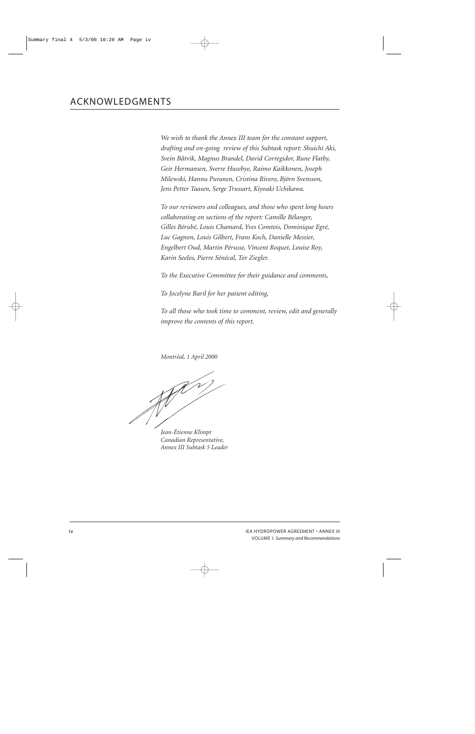*We wish to thank the Annex III team for the constant support, drafting and on-going review of this Subtask report: Shuichi Aki, Svein Båtvik, Magnus Brandel, David Corregidor, Rune Flatby, Geir Hermansen, Sverre Husebye, Raimo Kaikkonen, Joseph Milewski, Hannu Puranen, Cristina Rivero, Björn Svensson, Jens Petter Taasen, Serge Trussart, Kiyoaki Uchikawa.*

*To our reviewers and colleagues, and those who spent long hours collaborating on sections of the report: Camille Bélanger, Gilles Bérubé, Louis Chamard, Yves Comtois, Dominique Egré, Luc Gagnon, Louis Gilbert, Frans Koch, Danielle Messier, Engelbert Oud, Martin Pérusse, Vincent Roquet, Louise Roy, Karin Seelos, Pierre Sénécal, Tor Ziegler.*

*To the Executive Committee for their guidance and comments,*

*To Jocelyne Baril for her patient editing,*

*To all those who took time to comment, review, edit and generally improve the contents of this report.*

*Montréal, 1 April 2000*

*Jean-Étienne Klimpt Canadian Representative, Annex III Subtask 5 Leader*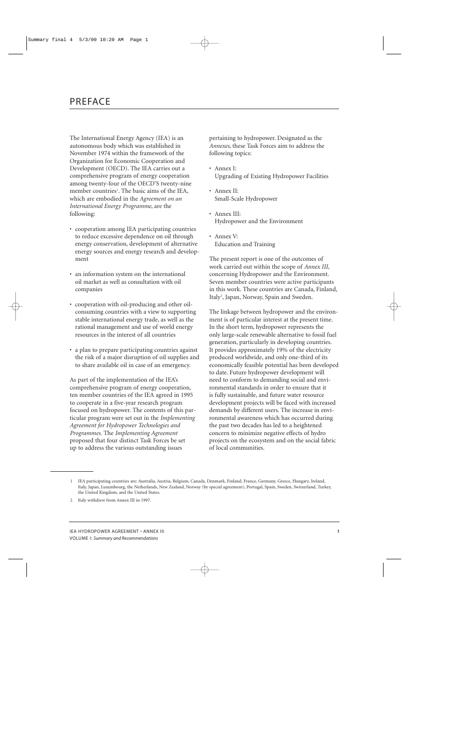The International Energy Agency (IEA) is an autonomous body which was established in November 1974 within the framework of the Organization for Economic Cooperation and Development (OECD). The IEA carries out a comprehensive program of energy cooperation among twenty-four of the OECD'S twenty-nine member countries<sup>1</sup>. The basic aims of the IEA, which are embodied in the *Agreement on an International Energy Programme*, are the following:

- cooperation among IEA participating countries to reduce excessive dependence on oil through energy conservation, development of alternative energy sources and energy research and development
- an information system on the international oil market as well as consultation with oil companies
- cooperation with oil-producing and other oilconsuming countries with a view to supporting stable international energy trade, as well as the rational management and use of world energy resources in the interest of all countries
- a plan to prepare participating countries against the risk of a major disruption of oil supplies and to share available oil in case of an emergency.

As part of the implementation of the IEA's comprehensive program of energy cooperation, ten member countries of the IEA agreed in 1995 to cooperate in a five-year research program focused on hydropower. The contents of this particular program were set out in the *Implementing Agreement for Hydropower Technologies and Programmes.* The *Implementing Agreement* proposed that four distinct Task Forces be set up to address the various outstanding issues

pertaining to hydropower. Designated as the *Annexes*, these Task Forces aim to address the following topics:

- Annex I: Upgrading of Existing Hydropower Facilities
- Annex II: Small-Scale Hydropower
- Annex III: Hydropower and the Environment
- Annex V: Education and Training

The present report is one of the outcomes of work carried out within the scope of *Annex III*, concerning Hydropower and the Environment. Seven member countries were active participants in this work. These countries are Canada, Finland, Italy<sup>2</sup>, Japan, Norway, Spain and Sweden.

The linkage between hydropower and the environment is of particular interest at the present time. In the short term, hydropower represents the only large-scale renewable alternative to fossil fuel generation, particularly in developing countries. It provides approximately 19% of the electricity produced worldwide, and only one-third of its economically feasible potential has been developed to date. Future hydropower development will need to conform to demanding social and environmental standards in order to ensure that it is fully sustainable, and future water resource development projects will be faced with increased demands by different users. The increase in environmental awareness which has occurred during the past two decades has led to a heightened concern to minimize negative effects of hydro projects on the ecosystem and on the social fabric of local communities.

<sup>1</sup> IEA participating countries are: Australia, Austria, Belgium, Canada, Denmark, Finland, France, Germany, Greece, Hungary, Ireland, Italy, Japan, Luxembourg, the Netherlands, New Zealand, Norway (by special agreement), Portugal, Spain, Sweden, Switzerland, Turkey, the United Kingdom, and the United States.

<sup>2</sup> Italy withdrew from Annex III in 1997.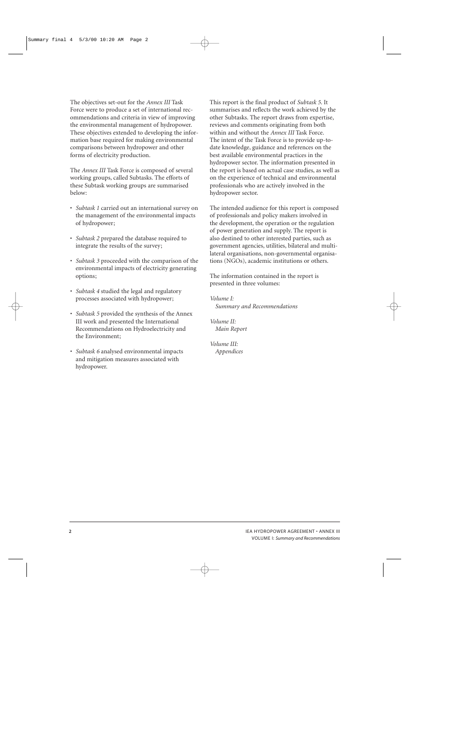The objectives set-out for the *Annex III* Task Force were to produce a set of international recommendations and criteria in view of improving the environmental management of hydropower. These objectives extended to developing the information base required for making environmental comparisons between hydropower and other forms of electricity production.

The *Annex III* Task Force is composed of several working groups, called Subtasks. The efforts of these Subtask working groups are summarised below:

- *Subtask 1* carried out an international survey on the management of the environmental impacts of hydropower;
- *Subtask 2* prepared the database required to integrate the results of the survey;
- *Subtask 3* proceeded with the comparison of the environmental impacts of electricity generating options;
- *Subtask 4* studied the legal and regulatory processes associated with hydropower;
- *Subtask 5* provided the synthesis of the Annex III work and presented the International Recommendations on Hydroelectricity and the Environment;
- *Subtask 6* analysed environmental impacts and mitigation measures associated with hydropower.

This report is the final product of *Subtask 5*. It summarises and reflects the work achieved by the other Subtasks. The report draws from expertise, reviews and comments originating from both within and without the *Annex III* Task Force. The intent of the Task Force is to provide up-todate knowledge, guidance and references on the best available environmental practices in the hydropower sector. The information presented in the report is based on actual case studies, as well as on the experience of technical and environmental professionals who are actively involved in the hydropower sector.

The intended audience for this report is composed of professionals and policy makers involved in the development, the operation or the regulation of power generation and supply. The report is also destined to other interested parties, such as government agencies, utilities, bilateral and multilateral organisations, non-governmental organisations (NGOs), academic institutions or others.

The information contained in the report is presented in three volumes:

*Volume I: Summary and Recommendations*

*Volume II: Main Report*

*Volume III: Appendices*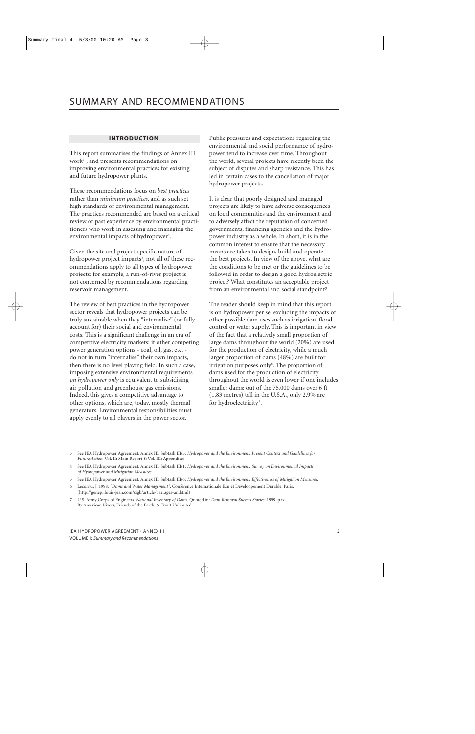## **INTRODUCTION**

This report summarises the findings of Annex III work3 , and presents recommendations on improving environmental practices for existing and future hydropower plants.

These recommendations focus on *best practices* rather than *minimum practices*, and as such set high standards of environmental management. The practices recommended are based on a critical review of past experience by environmental practitioners who work in assessing and managing the environmental impacts of hydropower<sup>4</sup>.

Given the site and project-specific nature of hydropower project impacts<sup>5</sup>, not all of these recommendations apply to all types of hydropower projects: for example, a run-of-river project is not concerned by recommendations regarding reservoir management.

The review of best practices in the hydropower sector reveals that hydropower projects can be truly sustainable when they "internalise" (or fully account for) their social and environmental costs. This is a significant challenge in an era of competitive electricity markets: if other competing power generation options - coal, oil, gas, etc. do not in turn "internalise" their own impacts, then there is no level playing field. In such a case, imposing extensive environmental requirements *on hydropower only* is equivalent to subsidising air pollution and greenhouse gas emissions. Indeed, this gives a competitive advantage to other options, which are, today, mostly thermal generators. Environmental responsibilities must apply evenly to all players in the power sector.

Public pressures and expectations regarding the environmental and social performance of hydropower tend to increase over time. Throughout the world, several projects have recently been the subject of disputes and sharp resistance. This has led in certain cases to the cancellation of major hydropower projects.

It is clear that poorly designed and managed projects are likely to have adverse consequences on local communities and the environment and to adversely affect the reputation of concerned governments, financing agencies and the hydropower industry as a whole. In short, it is in the common interest to ensure that the necessary means are taken to design, build and operate the best projects. In view of the above, what are the conditions to be met or the guidelines to be followed in order to design a good hydroelectric project? What constitutes an acceptable project from an environmental and social standpoint?

The reader should keep in mind that this report is on hydropower per se, excluding the impacts of other possible dam uses such as irrigation, flood control or water supply. This is important in view of the fact that a relatively small proportion of large dams throughout the world (20%) are used for the production of electricity, while a much larger proportion of dams (48%) are built for irrigation purposes only<sup>6</sup>. The proportion of dams used for the production of electricity throughout the world is even lower if one includes smaller dams: out of the 75,000 dams over 6 ft (1.83 metres) tall in the U.S.A., only 2.9% are for hydroelectricity<sup>7</sup>.

<sup>3</sup> See IEA Hydropower Agreement. Annex III. Subtask III/5: *Hydropower and the Environment: Present Context and Guidelines for Future Action,* Vol. II: Main Report & Vol. III: Appendices

<sup>4</sup> See IEA Hydropower Agreement. Annex III. Subtask III/1: *Hydropower and the Environment: Survey on Environmental Impacts of Hydropower and Mitigation Measures.*

<sup>5</sup> See IEA Hydropower Agreement. Annex III. Subtask III/6: *Hydropower and the Environment: Effectiveness of Mitigation Measures.*

<sup>6</sup> Lecornu, J. 1998. *"Dams and Water Management"*. Conférence Internationale Eau et Développement Durable, Paris. (http://genepi.louis-jean.com/cigb/article-barrages-an.html)

<sup>7</sup> U.S. Army Corps of Engineers. *National Inventory of Dams.* Quoted in: *Dam Removal Success Stories.* 1999. p.ix. By American Rivers, Friends of the Earth, & Trout Unlimited.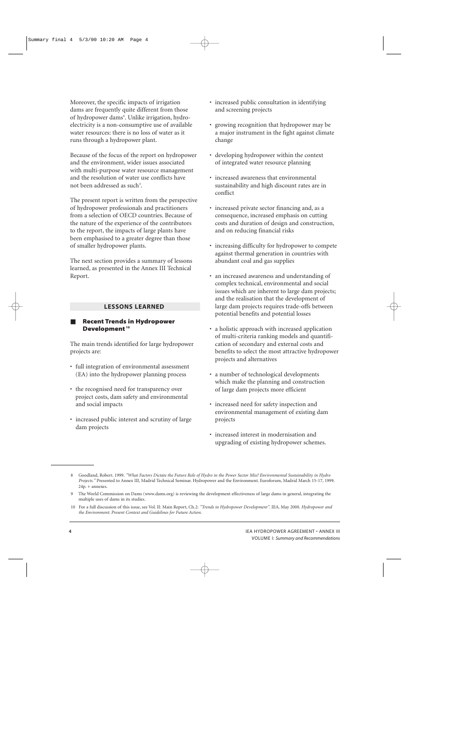Moreover, the specific impacts of irrigation dams are frequently quite different from those of hydropower dams<sup>8</sup>. Unlike irrigation, hydroelectricity is a non-consumptive use of available water resources: there is no loss of water as it runs through a hydropower plant.

Because of the focus of the report on hydropower and the environment, wider issues associated with multi-purpose water resource management and the resolution of water use conflicts have not been addressed as such<sup>9</sup>.

The present report is written from the perspective of hydropower professionals and practitioners from a selection of OECD countries. Because of the nature of the experience of the contributors to the report, the impacts of large plants have been emphasised to a greater degree than those of smaller hydropower plants.

The next section provides a summary of lessons learned, as presented in the Annex III Technical Report.

#### **LESSONS LEARNED**

#### **Recent Trends in Hydropower Development <sup>10</sup>**

The main trends identified for large hydropower projects are:

- full integration of environmental assessment (EA) into the hydropower planning process
- the recognised need for transparency over project costs, dam safety and environmental and social impacts
- increased public interest and scrutiny of large dam projects
- increased public consultation in identifying and screening projects
- growing recognition that hydropower may be a major instrument in the fight against climate change
- developing hydropower within the context of integrated water resource planning
- increased awareness that environmental sustainability and high discount rates are in conflict
- increased private sector financing and, as a consequence, increased emphasis on cutting costs and duration of design and construction, and on reducing financial risks
- increasing difficulty for hydropower to compete against thermal generation in countries with abundant coal and gas supplies
- an increased awareness and understanding of complex technical, environmental and social issues which are inherent to large dam projects; and the realisation that the development of large dam projects requires trade-offs between potential benefits and potential losses
- a holistic approach with increased application of multi-criteria ranking models and quantification of secondary and external costs and benefits to select the most attractive hydropower projects and alternatives
- a number of technological developments which make the planning and construction of large dam projects more efficient
- increased need for safety inspection and environmental management of existing dam projects
- increased interest in modernisation and upgrading of existing hydropower schemes.

<sup>8</sup> Goodland, Robert. 1999. *"What Factors Dictate the Future Role of Hydro in the Power Sector Mix? Environmental Sustainability in Hydro Projects."* Presented to Annex III, Madrid Technical Seminar. Hydropower and the Environment. Euroforum, Madrid March 15-17, 1999. 24p. + annexes.

<sup>9</sup> The World Commission on Dams (www.dams.org) is reviewing the development effectiveness of large dams in general, integrating the multiple uses of dams in its studies.

<sup>10</sup> For a full discussion of this issue, see Vol. II: Main Report, Ch.2: *"Trends in Hydropower Development"*. IEA. May 2000. *Hydropower and the Environment: Present Context and Guidelines for Future Action.*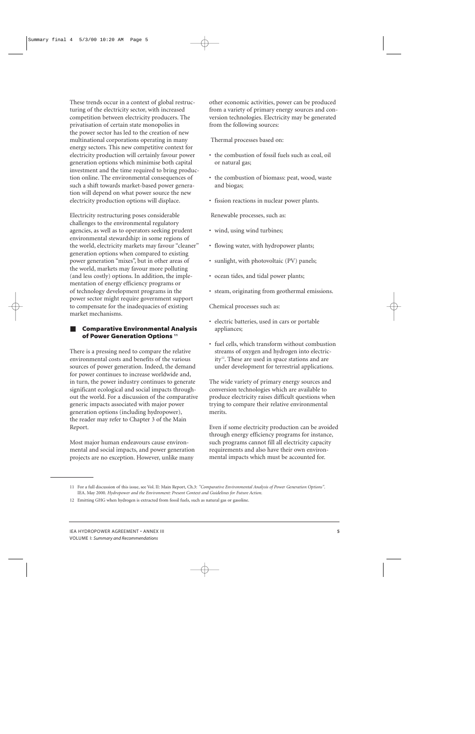These trends occur in a context of global restructuring of the electricity sector, with increased competition between electricity producers. The privatisation of certain state monopolies in the power sector has led to the creation of new multinational corporations operating in many energy sectors. This new competitive context for electricity production will certainly favour power generation options which minimise both capital investment and the time required to bring production online. The environmental consequences of such a shift towards market-based power generation will depend on what power source the new electricity production options will displace.

Electricity restructuring poses considerable challenges to the environmental regulatory agencies, as well as to operators seeking prudent environmental stewardship: in some regions of the world, electricity markets may favour "cleaner" generation options when compared to existing power generation "mixes", but in other areas of the world, markets may favour more polluting (and less costly) options. In addition, the implementation of energy efficiency programs or of technology development programs in the power sector might require government support to compensate for the inadequacies of existing market mechanisms.

#### **Comparative Environmental Analysis of Power Generation Options 11**

There is a pressing need to compare the relative environmental costs and benefits of the various sources of power generation. Indeed, the demand for power continues to increase worldwide and, in turn, the power industry continues to generate significant ecological and social impacts throughout the world. For a discussion of the comparative generic impacts associated with major power generation options (including hydropower), the reader may refer to Chapter 3 of the Main Report.

Most major human endeavours cause environmental and social impacts, and power generation projects are no exception. However, unlike many

other economic activities, power can be produced from a variety of primary energy sources and conversion technologies. Electricity may be generated from the following sources:

Thermal processes based on:

- the combustion of fossil fuels such as coal, oil or natural gas;
- the combustion of biomass: peat, wood, waste and biogas;
- fission reactions in nuclear power plants.

Renewable processes, such as:

- wind, using wind turbines;
- flowing water, with hydropower plants;
- sunlight, with photovoltaic (PV) panels;
- ocean tides, and tidal power plants;
- steam, originating from geothermal emissions.

Chemical processes such as:

- electric batteries, used in cars or portable appliances;
- fuel cells, which transform without combustion streams of oxygen and hydrogen into electricity<sup>12</sup>. These are used in space stations and are under development for terrestrial applications.

The wide variety of primary energy sources and conversion technologies which are available to produce electricity raises difficult questions when trying to compare their relative environmental merits.

Even if some electricity production can be avoided through energy efficiency programs for instance, such programs cannot fill all electricity capacity requirements and also have their own environmental impacts which must be accounted for.

<sup>11</sup> For a full discussion of this issue, see Vol. II: Main Report, Ch.3: *"Comparative Environmental Analysis of Power Generation Options".* IEA. May 2000. *Hydropower and the Environment: Present Context and Guidelines for Future Action.*

<sup>12</sup> Emitting GHG when hydrogen is extracted from fossil fuels, such as natural gas or gasoline.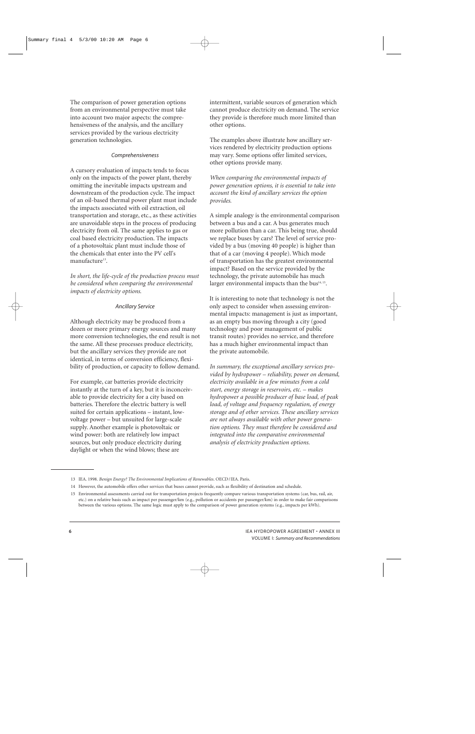The comparison of power generation options from an environmental perspective must take into account two major aspects: the comprehensiveness of the analysis, and the ancillary services provided by the various electricity generation technologies.

#### *Comprehensiveness*

A cursory evaluation of impacts tends to focus only on the impacts of the power plant, thereby omitting the inevitable impacts upstream and downstream of the production cycle. The impact of an oil-based thermal power plant must include the impacts associated with oil extraction, oil transportation and storage, etc., as these activities are unavoidable steps in the process of producing electricity from oil. The same applies to gas or coal based electricity production. The impacts of a photovoltaic plant must include those of the chemicals that enter into the PV cell's manufacture<sup>13</sup>.

*In short, the life-cycle of the production process must be considered when comparing the environmental impacts of electricity options.*

#### *Ancillary Service*

Although electricity may be produced from a dozen or more primary energy sources and many more conversion technologies, the end result is not the same. All these processes produce electricity, but the ancillary services they provide are not identical, in terms of conversion efficiency, flexibility of production, or capacity to follow demand.

For example, car batteries provide electricity instantly at the turn of a key, but it is inconceivable to provide electricity for a city based on batteries. Therefore the electric battery is well suited for certain applications – instant, lowvoltage power – but unsuited for large-scale supply. Another example is photovoltaic or wind power: both are relatively low impact sources, but only produce electricity during daylight or when the wind blows; these are

intermittent, variable sources of generation which cannot produce electricity on demand. The service they provide is therefore much more limited than other options.

The examples above illustrate how ancillary services rendered by electricity production options may vary. Some options offer limited services, other options provide many.

*When comparing the environmental impacts of power generation options, it is essential to take into account the kind of ancillary services the option provides.*

A simple analogy is the environmental comparison between a bus and a car. A bus generates much more pollution than a car. This being true, should we replace buses by cars? The level of service provided by a bus (moving 40 people) is higher than that of a car (moving 4 people). Which mode of transportation has the greatest environmental impact? Based on the service provided by the technology, the private automobile has much larger environmental impacts than the bus $14, 15$ .

It is interesting to note that technology is not the only aspect to consider when assessing environmental impacts: management is just as important, as an empty bus moving through a city (good technology and poor management of public transit routes) provides no service, and therefore has a much higher environmental impact than the private automobile.

*In summary, the exceptional ancillary services provided by hydropower – reliability, power on demand, electricity available in a few minutes from a cold start, energy storage in reservoirs, etc. – makes hydropower a possible producer of base load, of peak load, of voltage and frequency regulation, of energy storage and of other services. These ancillary services are not always available with other power generation options. They must therefore be considered and integrated into the comparative environmental analysis of electricity production options.*

<sup>13</sup> IEA. 1998. *Benign Energy? The Environmental Implications of Renewables.* OECD/IEA. Paris.

<sup>14</sup> However, the automobile offers other services that buses cannot provide, such as flexibility of destination and schedule.

<sup>15</sup> Environmental assessments carried out for transportation projects frequently compare various transportation systems (car, bus, rail, air, etc.) on a relative basis such as impact per passenger/km (e.g., pollution or accidents per passenger/km) in order to make fair comparisons between the various options. The same logic must apply to the comparison of power generation systems (e.g., impacts per kWh).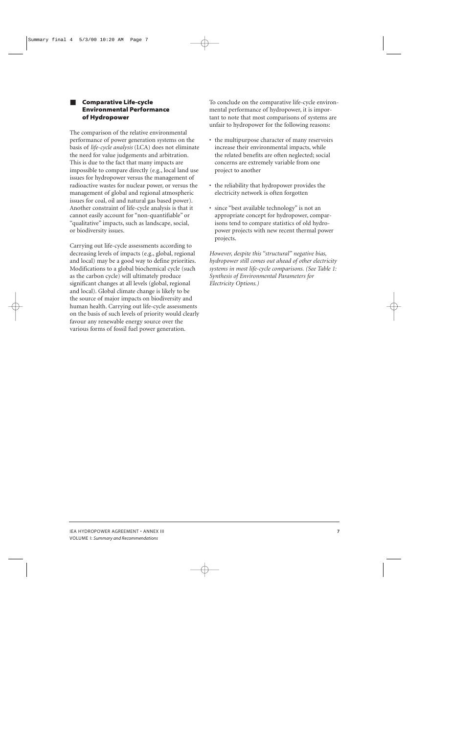### ■ **Comparative Life-cycle Environmental Performance of Hydropower**

The comparison of the relative environmental performance of power generation systems on the basis of *life-cycle analysis* (LCA) does not eliminate the need for value judgements and arbitration. This is due to the fact that many impacts are impossible to compare directly (e.g., local land use issues for hydropower versus the management of radioactive wastes for nuclear power, or versus the management of global and regional atmospheric issues for coal, oil and natural gas based power). Another constraint of life-cycle analysis is that it cannot easily account for "non-quantifiable" or "qualitative" impacts, such as landscape, social, or biodiversity issues.

Carrying out life-cycle assessments according to decreasing levels of impacts (e.g., global, regional and local) may be a good way to define priorities. Modifications to a global biochemical cycle (such as the carbon cycle) will ultimately produce significant changes at all levels (global, regional and local). Global climate change is likely to be the source of major impacts on biodiversity and human health. Carrying out life-cycle assessments on the basis of such levels of priority would clearly favour any renewable energy source over the various forms of fossil fuel power generation.

To conclude on the comparative life-cycle environmental performance of hydropower, it is important to note that most comparisons of systems are unfair to hydropower for the following reasons:

- the multipurpose character of many reservoirs increase their environmental impacts, while the related benefits are often neglected; social concerns are extremely variable from one project to another
- the reliability that hydropower provides the electricity network is often forgotten
- since "best available technology" is not an appropriate concept for hydropower, comparisons tend to compare statistics of old hydropower projects with new recent thermal power projects.

*However, despite this "structural" negative bias, hydropower still comes out ahead of other electricity systems in most life-cycle comparisons. (See Table 1: Synthesis of Environmental Parameters for Electricity Options.)*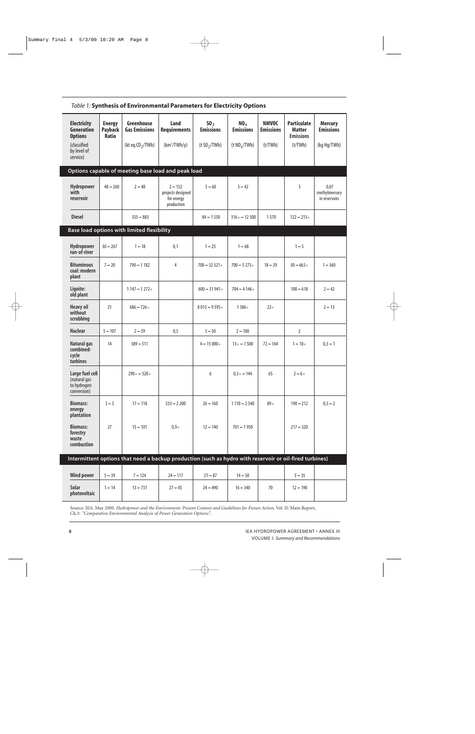| <b>Electricity</b><br><b>Generation</b><br><b>Options</b><br>(classified<br>by level of<br>service) | <b>Energy</b><br><b>Payback</b><br><b>Ratio</b> | Greenhouse<br><b>Gas Emissions</b><br>(kt eq. $CO2/TWh$ )                                               | Land<br><b>Requirements</b><br>$(km^2/TWh/y)$              | 50 <sub>2</sub><br><b>Emissions</b><br>$(t$ SO <sub>2</sub> /TWh) | NO <sub>x</sub><br><b>Emissions</b><br>(t NO <sub>x</sub> /TWh) | <b>NMVOC</b><br><b>Emissions</b><br>(t/TWh) | <b>Particulate</b><br><b>Matter</b><br><b>Emissions</b><br>(t/TWh) | <b>Mercury</b><br><b>Emissions</b><br>(kg Hg/TWh) |
|-----------------------------------------------------------------------------------------------------|-------------------------------------------------|---------------------------------------------------------------------------------------------------------|------------------------------------------------------------|-------------------------------------------------------------------|-----------------------------------------------------------------|---------------------------------------------|--------------------------------------------------------------------|---------------------------------------------------|
|                                                                                                     |                                                 | Options capable of meeting base load and peak load                                                      |                                                            |                                                                   |                                                                 |                                             |                                                                    |                                                   |
| Hydropower<br>with<br>reservoir                                                                     | $48 - 260$                                      | $2 - 48$                                                                                                | $2 - 152$<br>projects designed<br>for energy<br>production | $5 - 60$                                                          | $3 - 42$                                                        |                                             | 5                                                                  | 0,07<br>methylmercury<br>in reservoirs            |
| <b>Diesel</b>                                                                                       |                                                 | $555 - 883$                                                                                             |                                                            | $84 - 1550$                                                       | $316 + - 12300$                                                 | 1570                                        | $122 - 213 +$                                                      |                                                   |
|                                                                                                     |                                                 | Base load options with limited flexibility                                                              |                                                            |                                                                   |                                                                 |                                             |                                                                    |                                                   |
| Hydropower<br>run-of-river                                                                          | $30 - 267$                                      | $1 - 18$                                                                                                | 0,1                                                        | $1 - 25$                                                          | $1 - 68$                                                        |                                             | $1 - 5$                                                            |                                                   |
| <b>Bituminous</b><br>coal: modern<br>plant                                                          | $7 - 20$                                        | $790 - 1182$                                                                                            | 4                                                          | $700 - 32321 +$                                                   | $700 - 5273 +$                                                  | $18 - 29$                                   | $30 - 663 +$                                                       | $1 - 360$                                         |
| Lignite:<br>old plant                                                                               |                                                 | $1147 - 1272 +$                                                                                         |                                                            | $600 - 31941 +$                                                   | $704 - 4146 +$                                                  |                                             | $100 - 618$                                                        | $2 - 42$                                          |
| <b>Heavy oil</b><br>without<br>scrubbing                                                            | 21                                              | $686 - 726 +$                                                                                           |                                                            | $8013 - 9595 +$                                                   | $1386+$                                                         | $22+$                                       |                                                                    | $2 - 13$                                          |
| <b>Nuclear</b>                                                                                      | $5 - 107$                                       | $2 - 59$                                                                                                | 0,5                                                        | $3 - 50$                                                          | $2 - 100$                                                       |                                             | $\overline{2}$                                                     |                                                   |
| Natural gas<br>combined-<br>cycle<br>turbines                                                       | 14                                              | $389 - 511$                                                                                             |                                                            | $4 - 15000 +$                                                     | $13 + - 1500$                                                   | $72 - 164$                                  | $1 - 10 +$                                                         | $0,3 - 1$                                         |
| Large fuel cell<br>(natural gas<br>to hydrogen<br>conversion)                                       |                                                 | $290 + -520 +$                                                                                          |                                                            | 6                                                                 | $0.3 + -144$                                                    | 65                                          | $2 - 6 +$                                                          |                                                   |
| <b>Biomass:</b><br>energy<br>plantation                                                             | $3 - 5$                                         | $17 - 118$                                                                                              | $533 - 2200$                                               | $26 - 160$                                                        | $1110 - 2540$                                                   | $89+$                                       | $190 - 212$                                                        | $0,5 - 2$                                         |
| <b>Biomass:</b><br>forestry<br>waste<br>combustion                                                  | 27                                              | $15 - 101$                                                                                              | $0,9+$                                                     | $12 - 140$                                                        | $701 - 1950$                                                    |                                             | $217 - 320$                                                        |                                                   |
|                                                                                                     |                                                 | Intermittent options that need a backup production (such as hydro with reservoir or oil-fired turbines) |                                                            |                                                                   |                                                                 |                                             |                                                                    |                                                   |
| <b>Wind power</b>                                                                                   | $5 - 39$                                        | $7 - 124$                                                                                               | $24 - 117$                                                 | $21 - 87$                                                         | $14 - 50$                                                       |                                             | $5 - 35$                                                           |                                                   |
| Solar<br>photovoltaic                                                                               | $1 - 14$                                        | $13 - 731$                                                                                              | $27 - 45$                                                  | $24 - 490$                                                        | $16 - 340$                                                      | 70                                          | $12 - 190$                                                         |                                                   |

## *Table 1:* **Synthesis of Environmental Parameters for Electricity Options**

Source: IEA. May 2000. *Hydropower and the Environment: Present Context and Guidelines for Future Action.* Vol. II: Main Report, Ch.3: *"Comparative Environmental Analysis of Power Generation Options".*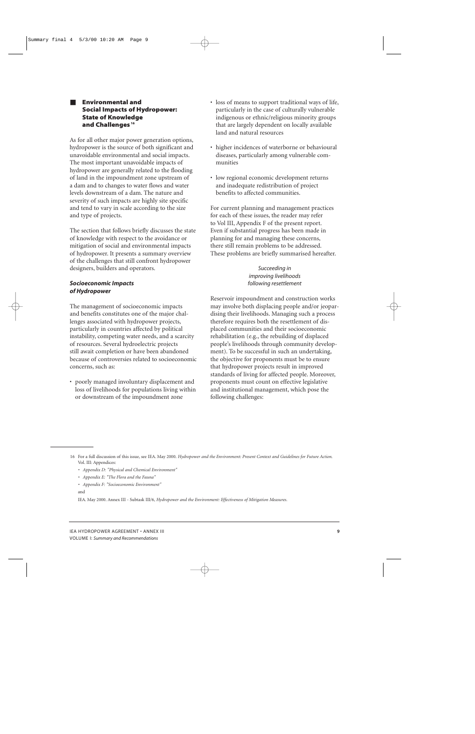#### ■ **Environmental and Social Impacts of Hydropower: State of Knowledge and Challenges <sup>16</sup>**

As for all other major power generation options, hydropower is the source of both significant and unavoidable environmental and social impacts. The most important unavoidable impacts of hydropower are generally related to the flooding of land in the impoundment zone upstream of a dam and to changes to water flows and water levels downstream of a dam. The nature and severity of such impacts are highly site specific and tend to vary in scale according to the size and type of projects.

The section that follows briefly discusses the state of knowledge with respect to the avoidance or mitigation of social and environmental impacts of hydropower. It presents a summary overview of the challenges that still confront hydropower designers, builders and operators.

#### *Socioeconomic Impacts of Hydropower*

The management of socioeconomic impacts and benefits constitutes one of the major challenges associated with hydropower projects, particularly in countries affected by political instability, competing water needs, and a scarcity of resources. Several hydroelectric projects still await completion or have been abandoned because of controversies related to socioeconomic concerns, such as:

• poorly managed involuntary displacement and loss of livelihoods for populations living within or downstream of the impoundment zone

- loss of means to support traditional ways of life, particularly in the case of culturally vulnerable indigenous or ethnic/religious minority groups that are largely dependent on locally available land and natural resources
- higher incidences of waterborne or behavioural diseases, particularly among vulnerable communities
- low regional economic development returns and inadequate redistribution of project benefits to affected communities.

For current planning and management practices for each of these issues, the reader may refer to Vol III, Appendix F of the present report. Even if substantial progress has been made in planning for and managing these concerns, there still remain problems to be addressed. These problems are briefly summarised hereafter.

#### *Succeeding in improving livelihoods following resettlement*

Reservoir impoundment and construction works may involve both displacing people and/or jeopardising their livelihoods. Managing such a process therefore requires both the resettlement of displaced communities and their socioeconomic rehabilitation (e.g., the rebuilding of displaced people's livelihoods through community development). To be successful in such an undertaking, the objective for proponents must be to ensure that hydropower projects result in improved standards of living for affected people. Moreover, proponents must count on effective legislative and institutional management, which pose the following challenges:

- *• Appendix D: "Physical and Chemical Environment"*
- *• Appendix E: "The Flora and the Fauna"*
- *• Appendix F: "Socioeconomic Environment"*

and

IEA. May 2000. Annex III - Subtask III/6, *Hydropower and the Environment: Effectiveness of Mitigation Measures.*

<sup>16</sup> For a full discussion of this issue, see IEA. May 2000. *Hydropower and the Environment: Present Context and Guidelines for Future Action.* Vol. III: Appendices: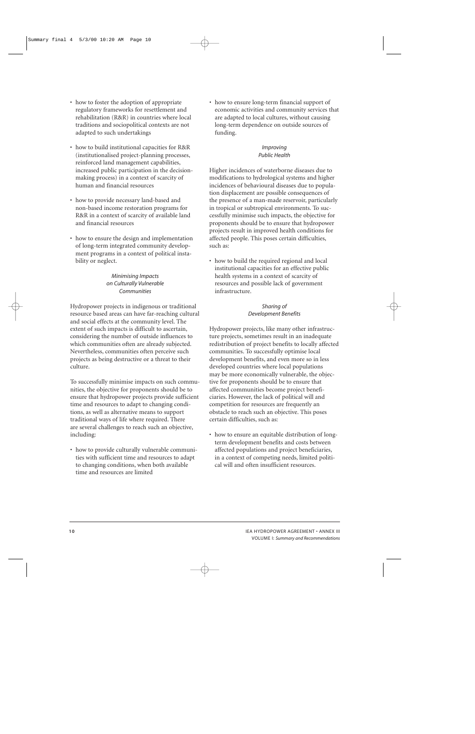- how to foster the adoption of appropriate regulatory frameworks for resettlement and rehabilitation (R&R) in countries where local traditions and sociopolitical contexts are not adapted to such undertakings
- how to build institutional capacities for R&R (institutionalised project-planning processes, reinforced land management capabilities, increased public participation in the decisionmaking process) in a context of scarcity of human and financial resources
- how to provide necessary land-based and non-based income restoration programs for R&R in a context of scarcity of available land and financial resources
- how to ensure the design and implementation of long-term integrated community development programs in a context of political instability or neglect.

#### *Minimising Impacts on Culturally Vulnerable Communities*

Hydropower projects in indigenous or traditional resource based areas can have far-reaching cultural and social effects at the community level. The extent of such impacts is difficult to ascertain, considering the number of outside influences to which communities often are already subjected. Nevertheless, communities often perceive such projects as being destructive or a threat to their culture.

To successfully minimise impacts on such communities, the objective for proponents should be to ensure that hydropower projects provide sufficient time and resources to adapt to changing conditions, as well as alternative means to support traditional ways of life where required. There are several challenges to reach such an objective, including:

• how to provide culturally vulnerable communities with sufficient time and resources to adapt to changing conditions, when both available time and resources are limited

• how to ensure long-term financial support of economic activities and community services that are adapted to local cultures, without causing long-term dependence on outside sources of funding.

## *Improving Public Health*

Higher incidences of waterborne diseases due to modifications to hydrological systems and higher incidences of behavioural diseases due to population displacement are possible consequences of the presence of a man-made reservoir, particularly in tropical or subtropical environments. To successfully minimise such impacts, the objective for proponents should be to ensure that hydropower projects result in improved health conditions for affected people. This poses certain difficulties, such as:

• how to build the required regional and local institutional capacities for an effective public health systems in a context of scarcity of resources and possible lack of government infrastructure.

## *Sharing of Development Benefits*

Hydropower projects, like many other infrastructure projects, sometimes result in an inadequate redistribution of project benefits to locally affected communities. To successfully optimise local development benefits, and even more so in less developed countries where local populations may be more economically vulnerable, the objective for proponents should be to ensure that affected communities become project beneficiaries. However, the lack of political will and competition for resources are frequently an obstacle to reach such an objective. This poses certain difficulties, such as:

• how to ensure an equitable distribution of longterm development benefits and costs between affected populations and project beneficiaries, in a context of competing needs, limited political will and often insufficient resources.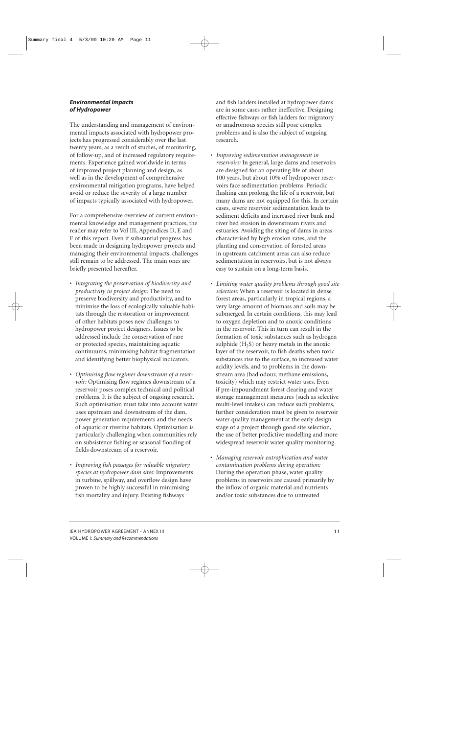#### *Environmental Impacts of Hydropower*

The understanding and management of environmental impacts associated with hydropower projects has progressed considerably over the last twenty years, as a result of studies, of monitoring, of follow-up, and of increased regulatory requirements. Experience gained worldwide in terms of improved project planning and design, as well as in the development of comprehensive environmental mitigation programs, have helped avoid or reduce the severity of a large number of impacts typically associated with hydropower.

For a comprehensive overview of current environmental knowledge and management practices, the reader may refer to Vol III, Appendices D, E and F of this report. Even if substantial progress has been made in designing hydropower projects and managing their environmental impacts, challenges still remain to be addressed. The main ones are briefly presented hereafter.

- *Integrating the preservation of biodiversity and productivity in project design:* The need to preserve biodiversity and productivity, and to minimise the loss of ecologically valuable habitats through the restoration or improvement of other habitats poses new challenges to hydropower project designers. Issues to be addressed include the conservation of rare or protected species, maintaining aquatic continuums, minimising habitat fragmentation and identifying better biophysical indicators.
- *Optimising flow regimes downstream of a reservoir:* Optimising flow regimes downstream of a reservoir poses complex technical and political problems. It is the subject of ongoing research. Such optimisation must take into account water uses upstream and downstream of the dam, power generation requirements and the needs of aquatic or riverine habitats. Optimisation is particularly challenging when communities rely on subsistence fishing or seasonal flooding of fields downstream of a reservoir.
- *Improving fish passages for valuable migratory species at hydropower dam sites:* Improvements in turbine, spillway, and overflow design have proven to be highly successful in minimising fish mortality and injury. Existing fishways

and fish ladders installed at hydropower dams are in some cases rather ineffective. Designing effective fishways or fish ladders for migratory or anadromous species still pose complex problems and is also the subject of ongoing research.

- *Improving sedimentation management in reservoirs:* In general, large dams and reservoirs are designed for an operating life of about 100 years, but about 10% of hydropower reservoirs face sedimentation problems. Periodic flushing can prolong the life of a reservoir, but many dams are not equipped for this. In certain cases, severe reservoir sedimentation leads to sediment deficits and increased river bank and river bed erosion in downstream rivers and estuaries. Avoiding the siting of dams in areas characterised by high erosion rates, and the planting and conservation of forested areas in upstream catchment areas can also reduce sedimentation in reservoirs, but is not always easy to sustain on a long-term basis.
- *Limiting water quality problems through good site selection:* When a reservoir is located in dense forest areas, particularly in tropical regions, a very large amount of biomass and soils may be submerged. In certain conditions, this may lead to oxygen depletion and to anoxic conditions in the reservoir. This in turn can result in the formation of toxic substances such as hydrogen sulphide  $(H<sub>2</sub>S)$  or heavy metals in the anoxic layer of the reservoir, to fish deaths when toxic substances rise to the surface, to increased water acidity levels, and to problems in the downstream area (bad odour, methane emissions, toxicity) which may restrict water uses. Even if pre-impoundment forest clearing and water storage management measures (such as selective multi-level intakes) can reduce such problems, further consideration must be given to reservoir water quality management at the early design stage of a project through good site selection, the use of better predictive modelling and more widespread reservoir water quality monitoring.
- *Managing reservoir eutrophication and water contamination problems during operation:* During the operation phase, water quality problems in reservoirs are caused primarily by the inflow of organic material and nutrients and/or toxic substances due to untreated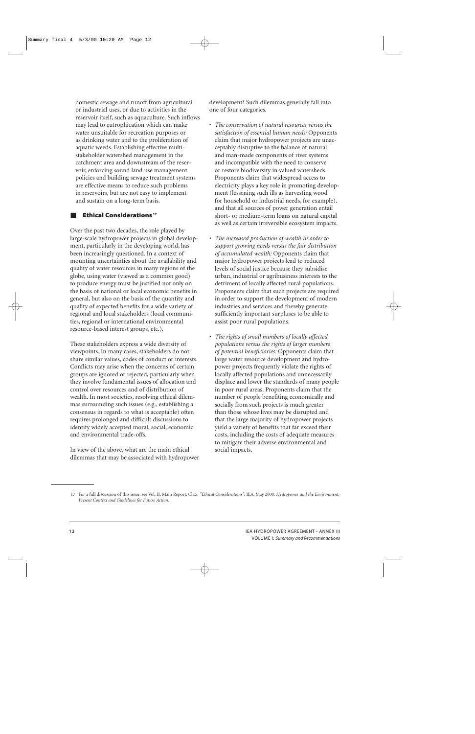domestic sewage and runoff from agricultural or industrial uses, or due to activities in the reservoir itself, such as aquaculture. Such inflows may lead to eutrophication which can make water unsuitable for recreation purposes or as drinking water and to the proliferation of aquatic weeds. Establishing effective multistakeholder watershed management in the catchment area and downstream of the reservoir, enforcing sound land use management policies and building sewage treatment systems are effective means to reduce such problems in reservoirs, but are not easy to implement and sustain on a long-term basis.

#### ■ **Ethical Considerations <sup>17</sup>**

Over the past two decades, the role played by large-scale hydropower projects in global development, particularly in the developing world, has been increasingly questioned. In a context of mounting uncertainties about the availability and quality of water resources in many regions of the globe, using water (viewed as a common good) to produce energy must be justified not only on the basis of national or local economic benefits in general, but also on the basis of the quantity and quality of expected benefits for a wide variety of regional and local stakeholders (local communities, regional or international environmental resource-based interest groups, etc.).

These stakeholders express a wide diversity of viewpoints. In many cases, stakeholders do not share similar values, codes of conduct or interests. Conflicts may arise when the concerns of certain groups are ignored or rejected, particularly when they involve fundamental issues of allocation and control over resources and of distribution of wealth. In most societies, resolving ethical dilemmas surrounding such issues (e.g., establishing a consensus in regards to what is acceptable) often requires prolonged and difficult discussions to identify widely accepted moral, social, economic and environmental trade-offs.

In view of the above, what are the main ethical dilemmas that may be associated with hydropower

development? Such dilemmas generally fall into one of four categories.

- *The conservation of natural resources versus the satisfaction of essential human needs:* Opponents claim that major hydropower projects are unacceptably disruptive to the balance of natural and man-made components of river systems and incompatible with the need to conserve or restore biodiversity in valued watersheds. Proponents claim that widespread access to electricity plays a key role in promoting development (lessening such ills as harvesting wood for household or industrial needs, for example), and that all sources of power generation entail short- or medium-term loans on natural capital as well as certain irreversible ecosystem impacts.
- *The increased production of wealth in order to support growing needs versus the fair distribution of accumulated wealth:* Opponents claim that major hydropower projects lead to reduced levels of social justice because they subsidise urban, industrial or agribusiness interests to the detriment of locally affected rural populations. Proponents claim that such projects are required in order to support the development of modern industries and services and thereby generate sufficiently important surpluses to be able to assist poor rural populations.
- *The rights of small numbers of locally affected populations versus the rights of larger numbers of potential beneficiaries:* Opponents claim that large water resource development and hydropower projects frequently violate the rights of locally affected populations and unnecessarily displace and lower the standards of many people in poor rural areas. Proponents claim that the number of people benefiting economically and socially from such projects is much greater than those whose lives may be disrupted and that the large majority of hydropower projects yield a variety of benefits that far exceed their costs, including the costs of adequate measures to mitigate their adverse environmental and social impacts.

<sup>17</sup> For a full discussion of this issue, see Vol. II: Main Report, Ch.5: *"Ethical Considerations"*. IEA. May 2000. *Hydropower and the Environment: Present Context and Guidelines for Future Action.*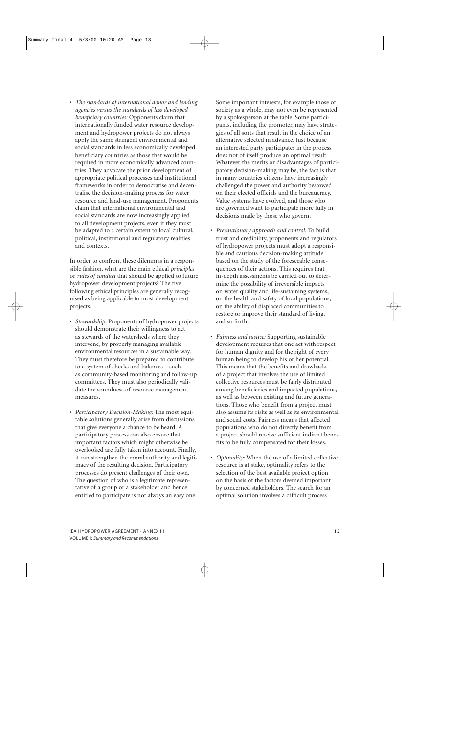• *The standards of international donor and lending agencies versus the standards of less developed beneficiary countries:* Opponents claim that internationally funded water resource development and hydropower projects do not always apply the same stringent environmental and social standards in less economically developed beneficiary countries as those that would be required in more economically advanced countries. They advocate the prior development of appropriate political processes and institutional frameworks in order to democratise and decentralise the decision-making process for water resource and land-use management. Proponents claim that international environmental and social standards are now increasingly applied to all development projects, even if they must be adapted to a certain extent to local cultural, political, institutional and regulatory realities and contexts.

In order to confront these dilemmas in a responsible fashion, what are the main ethical *principles* or *rules of conduct* that should be applied to future hydropower development projects? The five following ethical principles are generally recognised as being applicable to most development projects.

- *Stewardship:* Proponents of hydropower projects should demonstrate their willingness to act as stewards of the watersheds where they intervene, by properly managing available environmental resources in a sustainable way. They must therefore be prepared to contribute to a system of checks and balances – such as community-based monitoring and follow-up committees. They must also periodically validate the soundness of resource management measures.
- *Participatory Decision-Making:* The most equitable solutions generally arise from discussions that give everyone a chance to be heard. A participatory process can also ensure that important factors which might otherwise be overlooked are fully taken into account. Finally, it can strengthen the moral authority and legitimacy of the resulting decision. Participatory processes do present challenges of their own. The question of who is a legitimate representative of a group or a stakeholder and hence entitled to participate is not always an easy one.

Some important interests, for example those of society as a whole, may not even be represented by a spokesperson at the table. Some participants, including the promoter, may have strategies of all sorts that result in the choice of an alternative selected in advance. Just because an interested party participates in the process does not of itself produce an optimal result. Whatever the merits or disadvantages of participatory decision-making may be, the fact is that in many countries citizens have increasingly challenged the power and authority bestowed on their elected officials and the bureaucracy. Value systems have evolved, and those who are governed want to participate more fully in decisions made by those who govern.

- *Precautionary approach and control:* To build trust and credibility, proponents and regulators of hydropower projects must adopt a responsible and cautious decision-making attitude based on the study of the foreseeable consequences of their actions. This requires that in-depth assessments be carried out to determine the possibility of irreversible impacts on water quality and life-sustaining systems, on the health and safety of local populations, on the ability of displaced communities to restore or improve their standard of living, and so forth.
- *Fairness and justice:* Supporting sustainable development requires that one act with respect for human dignity and for the right of every human being to develop his or her potential. This means that the benefits and drawbacks of a project that involves the use of limited collective resources must be fairly distributed among beneficiaries and impacted populations, as well as between existing and future generations. Those who benefit from a project must also assume its risks as well as its environmental and social costs. Fairness means that affected populations who do not directly benefit from a project should receive sufficient indirect benefits to be fully compensated for their losses.
- *Optimality:* When the use of a limited collective resource is at stake, optimality refers to the selection of the best available project option on the basis of the factors deemed important by concerned stakeholders. The search for an optimal solution involves a difficult process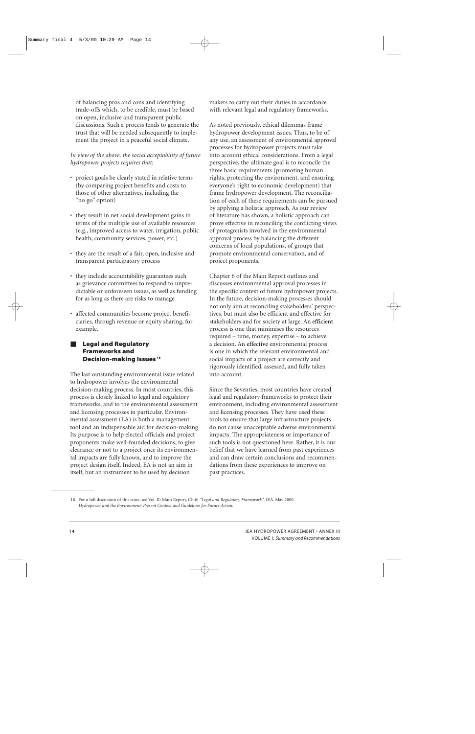of balancing pros and cons and identifying trade-offs which, to be credible, must be based on open, inclusive and transparent public discussions. Such a process tends to generate the trust that will be needed subsequently to implement the project in a peaceful social climate.

#### *In view of the above, the social acceptability of future hydropower projects requires that:*

- project goals be clearly stated in relative terms (by comparing project benefits and costs to those of other alternatives, including the "no go" option)
- they result in net social development gains in terms of the multiple use of available resources (e.g., improved access to water, irrigation, public health, community services, power, etc.)
- they are the result of a fair, open, inclusive and transparent participatory process
- they include accountability guarantees such as grievance committees to respond to unpredictable or unforeseen issues, as well as funding for as long as there are risks to manage
- affected communities become project beneficiaries, through revenue or equity sharing, for example.

#### **Legal and Regulatory Frameworks and Decision-making Issues <sup>18</sup>**

The last outstanding environmental issue related to hydropower involves the environmental decision-making process. In most countries, this process is closely linked to legal and regulatory frameworks, and to the environmental assessment and licensing processes in particular. Environmental assessment (EA) is both a management tool and an indispensable aid for decision-making. Its purpose is to help elected officials and project proponents make well-founded decisions, to give clearance or not to a project once its environmental impacts are fully known, and to improve the project design itself. Indeed, EA is not an aim in itself, but an instrument to be used by decision

makers to carry out their duties in accordance with relevant legal and regulatory frameworks.

As noted previously, ethical dilemmas frame hydropower development issues. Thus, to be of any use, an assessment of environmental approval processes for hydropower projects must take into account ethical considerations. From a legal perspective, the ultimate goal is to reconcile the three basic requirements (promoting human rights, protecting the environment, and ensuring everyone's right to economic development) that frame hydropower development. The reconciliation of each of these requirements can be pursued by applying a holistic approach. As our review of literature has shown, a holistic approach can prove effective in reconciling the conflicting views of protagonists involved in the environmental approval process by balancing the different concerns of local populations, of groups that promote environmental conservation, and of project proponents.

Chapter 6 of the Main Report outlines and discusses environmental approval processes in the specific context of future hydropower projects. In the future, decision-making processes should not only aim at reconciling stakeholders' perspectives, but must also be efficient and effective for stakeholders and for society at large. An **efficient** process is one that minimises the resources required – time, money, expertise – to achieve a decision. An **effective** environmental process is one in which the relevant environmental and social impacts of a project are correctly and rigorously identified, assessed, and fully taken into account.

Since the Seventies, most countries have created legal and regulatory frameworks to protect their environment, including environmental assessment and licensing processes. They have used these tools to ensure that large infrastructure projects do not cause unacceptable adverse environmental impacts. The appropriateness or importance of such tools is not questioned here. Rather, it is our belief that we have learned from past experiences and can draw certain conclusions and recommendations from these experiences to improve on past practices.

<sup>18</sup> For a full discussion of this issue, see Vol. II: Main Report, Ch.6: *"Legal and Regulatory Framework"*. IEA. May 2000. *Hydropower and the Environment: Present Context and Guidelines for Future Action.*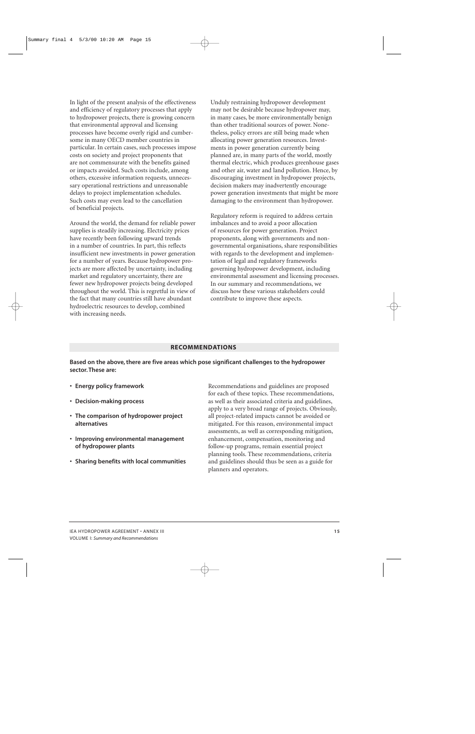In light of the present analysis of the effectiveness and efficiency of regulatory processes that apply to hydropower projects, there is growing concern that environmental approval and licensing processes have become overly rigid and cumbersome in many OECD member countries in particular. In certain cases, such processes impose costs on society and project proponents that are not commensurate with the benefits gained or impacts avoided. Such costs include, among others, excessive information requests, unnecessary operational restrictions and unreasonable delays to project implementation schedules. Such costs may even lead to the cancellation of beneficial projects.

Around the world, the demand for reliable power supplies is steadily increasing. Electricity prices have recently been following upward trends in a number of countries. In part, this reflects insufficient new investments in power generation for a number of years. Because hydropower projects are more affected by uncertainty, including market and regulatory uncertainty, there are fewer new hydropower projects being developed throughout the world. This is regretful in view of the fact that many countries still have abundant hydroelectric resources to develop, combined with increasing needs.

Unduly restraining hydropower development may not be desirable because hydropower may, in many cases, be more environmentally benign than other traditional sources of power. Nonetheless, policy errors are still being made when allocating power generation resources. Investments in power generation currently being planned are, in many parts of the world, mostly thermal electric, which produces greenhouse gases and other air, water and land pollution. Hence, by discouraging investment in hydropower projects, decision makers may inadvertently encourage power generation investments that might be more damaging to the environment than hydropower.

Regulatory reform is required to address certain imbalances and to avoid a poor allocation of resources for power generation. Project proponents, along with governments and nongovernmental organisations, share responsibilities with regards to the development and implementation of legal and regulatory frameworks governing hydropower development, including environmental assessment and licensing processes. In our summary and recommendations, we discuss how these various stakeholders could contribute to improve these aspects.

#### **RECOMMENDATIONS**

Based on the above, there are five areas which pose significant challenges to the hydropower **sector.These are:**

- **• Energy policy framework**
- **• Decision-making process**
- **• The comparison of hydropower project alternatives**
- **• Improving environmental management of hydropower plants**
- **• Sharing benefits with local communities**

Recommendations and guidelines are proposed for each of these topics. These recommendations, as well as their associated criteria and guidelines, apply to a very broad range of projects. Obviously, all project-related impacts cannot be avoided or mitigated. For this reason, environmental impact assessments, as well as corresponding mitigation, enhancement, compensation, monitoring and follow-up programs, remain essential project planning tools. These recommendations, criteria and guidelines should thus be seen as a guide for planners and operators.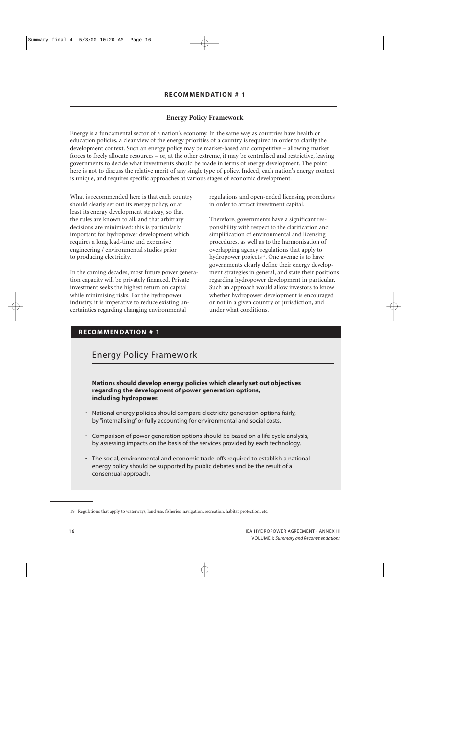## **Energy Policy Framework**

Energy is a fundamental sector of a nation's economy. In the same way as countries have health or education policies, a clear view of the energy priorities of a country is required in order to clarify the development context. Such an energy policy may be market-based and competitive – allowing market forces to freely allocate resources – or, at the other extreme, it may be centralised and restrictive, leaving governments to decide what investments should be made in terms of energy development. The point here is not to discuss the relative merit of any single type of policy. Indeed, each nation's energy context is unique, and requires specific approaches at various stages of economic development.

What is recommended here is that each country should clearly set out its energy policy, or at least its energy development strategy, so that the rules are known to all, and that arbitrary decisions are minimised: this is particularly important for hydropower development which requires a long lead-time and expensive engineering / environmental studies prior to producing electricity.

In the coming decades, most future power generation capacity will be privately financed. Private investment seeks the highest return on capital while minimising risks. For the hydropower industry, it is imperative to reduce existing uncertainties regarding changing environmental

regulations and open-ended licensing procedures in order to attract investment capital.

Therefore, governments have a significant responsibility with respect to the clarification and simplification of environmental and licensing procedures, as well as to the harmonisation of overlapping agency regulations that apply to hydropower projects<sup>19</sup>. One avenue is to have governments clearly define their energy development strategies in general, and state their positions regarding hydropower development in particular. Such an approach would allow investors to know whether hydropower development is encouraged or not in a given country or jurisdiction, and under what conditions.

## **RECOMMENDATION # 1**

# Energy Policy Framework

**Nations should develop energy policies which clearly set out objectives regarding the development of power generation options, including hydropower.**

- National energy policies should compare electricity generation options fairly, by "internalising"or fully accounting for environmental and social costs.
- Comparison of power generation options should be based on a life-cycle analysis, by assessing impacts on the basis of the services provided by each technology.
- The social, environmental and economic trade-offs required to establish a national energy policy should be supported by public debates and be the result of a consensual approach.

<sup>19</sup> Regulations that apply to waterways, land use, fisheries, navigation, recreation, habitat protection, etc.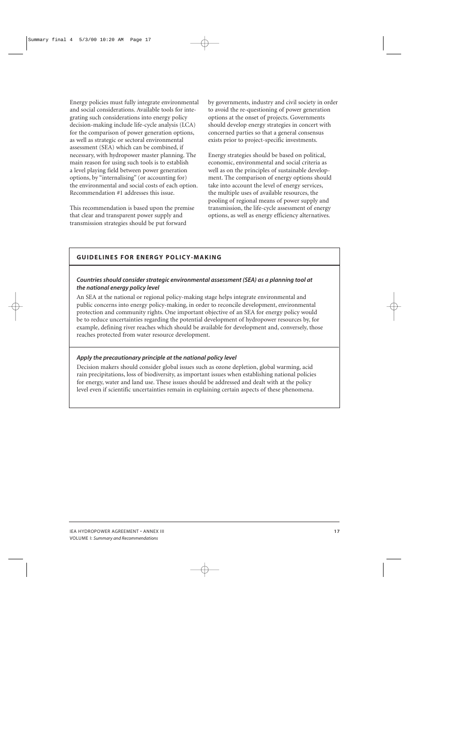Energy policies must fully integrate environmental and social considerations. Available tools for integrating such considerations into energy policy decision-making include life-cycle analysis (LCA) for the comparison of power generation options, as well as strategic or sectoral environmental assessment (SEA) which can be combined, if necessary, with hydropower master planning. The main reason for using such tools is to establish a level playing field between power generation options, by "internalising" (or accounting for) the environmental and social costs of each option. Recommendation #1 addresses this issue.

This recommendation is based upon the premise that clear and transparent power supply and transmission strategies should be put forward

by governments, industry and civil society in order to avoid the re-questioning of power generation options at the onset of projects. Governments should develop energy strategies in concert with concerned parties so that a general consensus exists prior to project-specific investments.

Energy strategies should be based on political, economic, environmental and social criteria as well as on the principles of sustainable development. The comparison of energy options should take into account the level of energy services, the multiple uses of available resources, the pooling of regional means of power supply and transmission, the life-cycle assessment of energy options, as well as energy efficiency alternatives.

## **GUIDELINES FOR ENERGY POLICY-MAKING**

#### *Countries should consider strategic environmental assessment (SEA) as a planning tool at the national energy policy level*

An SEA at the national or regional policy-making stage helps integrate environmental and public concerns into energy policy-making, in order to reconcile development, environmental protection and community rights. One important objective of an SEA for energy policy would be to reduce uncertainties regarding the potential development of hydropower resources by, for example, defining river reaches which should be available for development and, conversely, those reaches protected from water resource development.

## *Apply the precautionary principle at the national policy level*

Decision makers should consider global issues such as ozone depletion, global warming, acid rain precipitations, loss of biodiversity, as important issues when establishing national policies for energy, water and land use. These issues should be addressed and dealt with at the policy level even if scientific uncertainties remain in explaining certain aspects of these phenomena.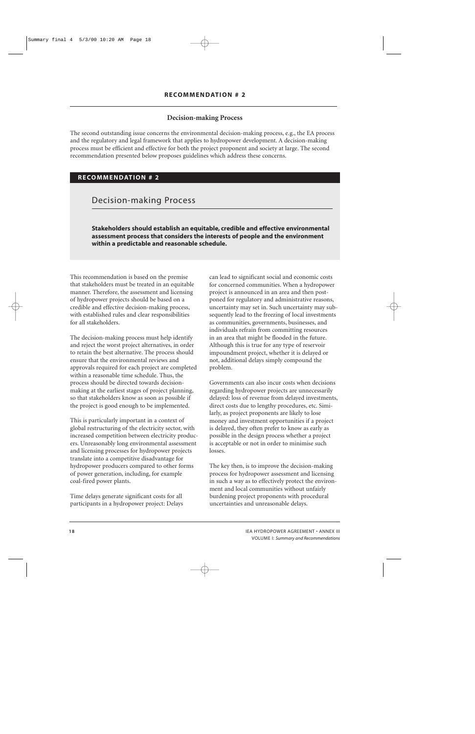## **Decision-making Process**

The second outstanding issue concerns the environmental decision-making process, e.g., the EA process and the regulatory and legal framework that applies to hydropower development. A decision-making process must be efficient and effective for both the project proponent and society at large. The second recommendation presented below proposes guidelines which address these concerns.

## **RECOMMENDATION # 2**

Decision-making Process

**Stakeholders should establish an equitable, credible and effective environmental assessment process that considers the interests of people and the environment within a predictable and reasonable schedule.**

This recommendation is based on the premise that stakeholders must be treated in an equitable manner. Therefore, the assessment and licensing of hydropower projects should be based on a credible and effective decision-making process, with established rules and clear responsibilities for all stakeholders.

The decision-making process must help identify and reject the worst project alternatives, in order to retain the best alternative. The process should ensure that the environmental reviews and approvals required for each project are completed within a reasonable time schedule. Thus, the process should be directed towards decisionmaking at the earliest stages of project planning, so that stakeholders know as soon as possible if the project is good enough to be implemented.

This is particularly important in a context of global restructuring of the electricity sector, with increased competition between electricity producers. Unreasonably long environmental assessment and licensing processes for hydropower projects translate into a competitive disadvantage for hydropower producers compared to other forms of power generation, including, for example coal-fired power plants.

Time delays generate significant costs for all participants in a hydropower project: Delays

can lead to significant social and economic costs for concerned communities. When a hydropower project is announced in an area and then postponed for regulatory and administrative reasons, uncertainty may set in. Such uncertainty may subsequently lead to the freezing of local investments as communities, governments, businesses, and individuals refrain from committing resources in an area that might be flooded in the future. Although this is true for any type of reservoir impoundment project, whether it is delayed or not, additional delays simply compound the problem.

Governments can also incur costs when decisions regarding hydropower projects are unnecessarily delayed: loss of revenue from delayed investments, direct costs due to lengthy procedures, etc. Similarly, as project proponents are likely to lose money and investment opportunities if a project is delayed, they often prefer to know as early as possible in the design process whether a project is acceptable or not in order to minimise such losses.

The key then, is to improve the decision-making process for hydropower assessment and licensing in such a way as to effectively protect the environment and local communities without unfairly burdening project proponents with procedural uncertainties and unreasonable delays.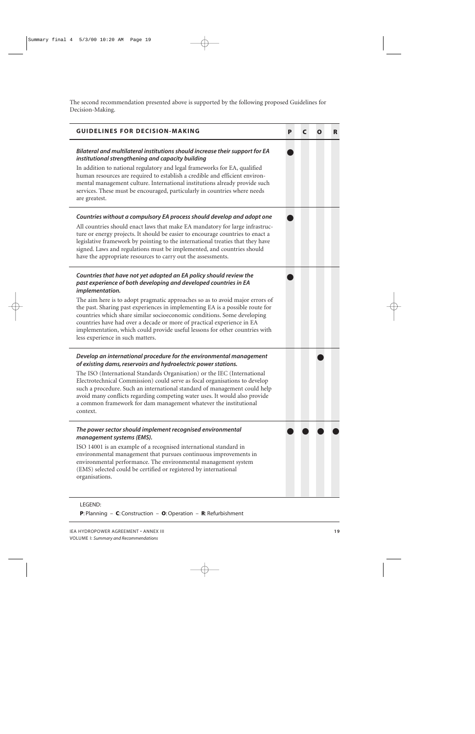The second recommendation presented above is supported by the following proposed Guidelines for Decision-Making.

| <b>GUIDELINES FOR DECISION-MAKING</b>                                                                                                                                                                                                                                                                                                                                                                                                                                                                                                                                                              | P | C | $\mathbf 0$ | R |
|----------------------------------------------------------------------------------------------------------------------------------------------------------------------------------------------------------------------------------------------------------------------------------------------------------------------------------------------------------------------------------------------------------------------------------------------------------------------------------------------------------------------------------------------------------------------------------------------------|---|---|-------------|---|
| Bilateral and multilateral institutions should increase their support for EA<br>institutional strengthening and capacity building<br>In addition to national regulatory and legal frameworks for EA, qualified<br>human resources are required to establish a credible and efficient environ-<br>mental management culture. International institutions already provide such<br>services. These must be encouraged, particularly in countries where needs<br>are greatest.                                                                                                                          |   |   |             |   |
| Countries without a compulsory EA process should develop and adopt one<br>All countries should enact laws that make EA mandatory for large infrastruc-<br>ture or energy projects. It should be easier to encourage countries to enact a<br>legislative framework by pointing to the international treaties that they have<br>signed. Laws and regulations must be implemented, and countries should<br>have the appropriate resources to carry out the assessments.                                                                                                                               |   |   |             |   |
| Countries that have not yet adopted an EA policy should review the<br>past experience of both developing and developed countries in EA<br>implementation.<br>The aim here is to adopt pragmatic approaches so as to avoid major errors of<br>the past. Sharing past experiences in implementing EA is a possible route for<br>countries which share similar socioeconomic conditions. Some developing<br>countries have had over a decade or more of practical experience in EA<br>implementation, which could provide useful lessons for other countries with<br>less experience in such matters. |   |   |             |   |
| Develop an international procedure for the environmental management<br>of existing dams, reservoirs and hydroelectric power stations.<br>The ISO (International Standards Organisation) or the IEC (International<br>Electrotechnical Commission) could serve as focal organisations to develop<br>such a procedure. Such an international standard of management could help<br>avoid many conflicts regarding competing water uses. It would also provide<br>a common framework for dam management whatever the institutional<br>context.                                                         |   |   |             |   |
| The power sector should implement recognised environmental<br>management systems (EMS).<br>ISO 14001 is an example of a recognised international standard in<br>environmental management that pursues continuous improvements in<br>environmental performance. The environmental management system<br>(EMS) selected could be certified or registered by international<br>organisations.                                                                                                                                                                                                           |   |   |             |   |

## LEGEND:

**P**: Planning – **C**: Construction – **O**:Operation – **R**: Refurbishment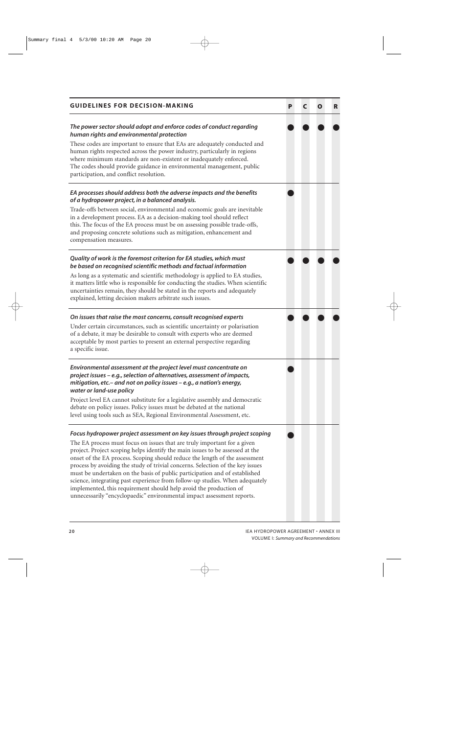| <b>GUIDELINES FOR DECISION-MAKING</b>                                                                                                                                                                                                                                                                                                                                                                                                                                                                                                                                                                                                                                                                                | P | C | O | R |
|----------------------------------------------------------------------------------------------------------------------------------------------------------------------------------------------------------------------------------------------------------------------------------------------------------------------------------------------------------------------------------------------------------------------------------------------------------------------------------------------------------------------------------------------------------------------------------------------------------------------------------------------------------------------------------------------------------------------|---|---|---|---|
| The power sector should adopt and enforce codes of conduct regarding<br>human rights and environmental protection<br>These codes are important to ensure that EAs are adequately conducted and<br>human rights respected across the power industry, particularly in regions<br>where minimum standards are non-existent or inadequately enforced.<br>The codes should provide guidance in environmental management, public<br>participation, and conflict resolution.                                                                                                                                                                                                                                                |   |   |   |   |
| EA processes should address both the adverse impacts and the benefits<br>of a hydropower project, in a balanced analysis.<br>Trade-offs between social, environmental and economic goals are inevitable<br>in a development process. EA as a decision-making tool should reflect<br>this. The focus of the EA process must be on assessing possible trade-offs,<br>and proposing concrete solutions such as mitigation, enhancement and<br>compensation measures.                                                                                                                                                                                                                                                    |   |   |   |   |
| Quality of work is the foremost criterion for EA studies, which must<br>be based on recognised scientific methods and factual information<br>As long as a systematic and scientific methodology is applied to EA studies,<br>it matters little who is responsible for conducting the studies. When scientific<br>uncertainties remain, they should be stated in the reports and adequately<br>explained, letting decision makers arbitrate such issues.                                                                                                                                                                                                                                                              |   |   |   |   |
| On issues that raise the most concerns, consult recognised experts<br>Under certain circumstances, such as scientific uncertainty or polarisation<br>of a debate, it may be desirable to consult with experts who are deemed<br>acceptable by most parties to present an external perspective regarding<br>a specific issue.                                                                                                                                                                                                                                                                                                                                                                                         |   |   |   |   |
| Environmental assessment at the project level must concentrate on<br>project issues - e.g., selection of alternatives, assessment of impacts,<br>mitigation, etc. - and not on policy issues - e.g., a nation's energy,<br>water or land-use policy<br>Project level EA cannot substitute for a legislative assembly and democratic<br>debate on policy issues. Policy issues must be debated at the national<br>level using tools such as SEA, Regional Environmental Assessment, etc.                                                                                                                                                                                                                              |   |   |   |   |
| Focus hydropower project assessment on key issues through project scoping<br>The EA process must focus on issues that are truly important for a given<br>project. Project scoping helps identify the main issues to be assessed at the<br>onset of the EA process. Scoping should reduce the length of the assessment<br>process by avoiding the study of trivial concerns. Selection of the key issues<br>must be undertaken on the basis of public participation and of established<br>science, integrating past experience from follow-up studies. When adequately<br>implemented, this requirement should help avoid the production of<br>unnecessarily "encyclopaedic" environmental impact assessment reports. |   |   |   |   |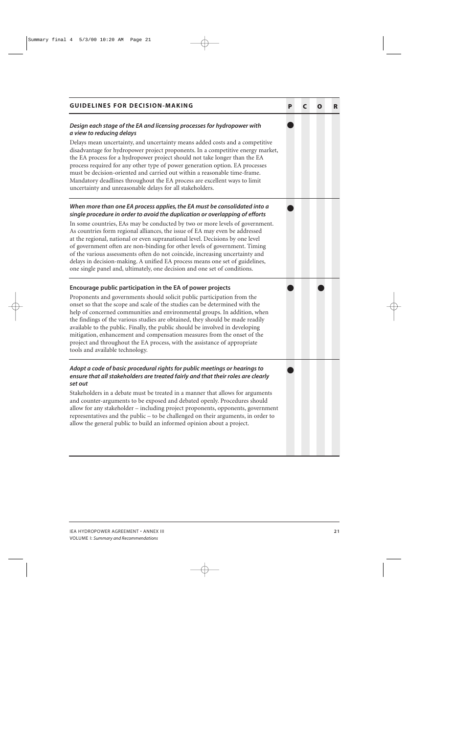| <b>GUIDELINES FOR DECISION-MAKING</b>                                                                                                                                                                                                                                                                                                                                                                                                                                                                                                                                                            | Р | C | O | R |
|--------------------------------------------------------------------------------------------------------------------------------------------------------------------------------------------------------------------------------------------------------------------------------------------------------------------------------------------------------------------------------------------------------------------------------------------------------------------------------------------------------------------------------------------------------------------------------------------------|---|---|---|---|
| Design each stage of the EA and licensing processes for hydropower with<br>a view to reducing delays                                                                                                                                                                                                                                                                                                                                                                                                                                                                                             |   |   |   |   |
| Delays mean uncertainty, and uncertainty means added costs and a competitive<br>disadvantage for hydropower project proponents. In a competitive energy market,<br>the EA process for a hydropower project should not take longer than the EA<br>process required for any other type of power generation option. EA processes<br>must be decision-oriented and carried out within a reasonable time-frame.<br>Mandatory deadlines throughout the EA process are excellent ways to limit<br>uncertainty and unreasonable delays for all stakeholders.                                             |   |   |   |   |
| When more than one EA process applies, the EA must be consolidated into a<br>single procedure in order to avoid the duplication or overlapping of efforts                                                                                                                                                                                                                                                                                                                                                                                                                                        |   |   |   |   |
| In some countries, EAs may be conducted by two or more levels of government.<br>As countries form regional alliances, the issue of EA may even be addressed<br>at the regional, national or even supranational level. Decisions by one level<br>of government often are non-binding for other levels of government. Timing<br>of the various assessments often do not coincide, increasing uncertainty and<br>delays in decision-making. A unified EA process means one set of guidelines,<br>one single panel and, ultimately, one decision and one set of conditions.                          |   |   |   |   |
| Encourage public participation in the EA of power projects                                                                                                                                                                                                                                                                                                                                                                                                                                                                                                                                       |   |   |   |   |
| Proponents and governments should solicit public participation from the<br>onset so that the scope and scale of the studies can be determined with the<br>help of concerned communities and environmental groups. In addition, when<br>the findings of the various studies are obtained, they should be made readily<br>available to the public. Finally, the public should be involved in developing<br>mitigation, enhancement and compensation measures from the onset of the<br>project and throughout the EA process, with the assistance of appropriate<br>tools and available technology. |   |   |   |   |
| Adopt a code of basic procedural rights for public meetings or hearings to<br>ensure that all stakeholders are treated fairly and that their roles are clearly<br>set out                                                                                                                                                                                                                                                                                                                                                                                                                        |   |   |   |   |
| Stakeholders in a debate must be treated in a manner that allows for arguments<br>and counter-arguments to be exposed and debated openly. Procedures should<br>allow for any stakeholder - including project proponents, opponents, government<br>representatives and the public – to be challenged on their arguments, in order to<br>allow the general public to build an informed opinion about a project.                                                                                                                                                                                    |   |   |   |   |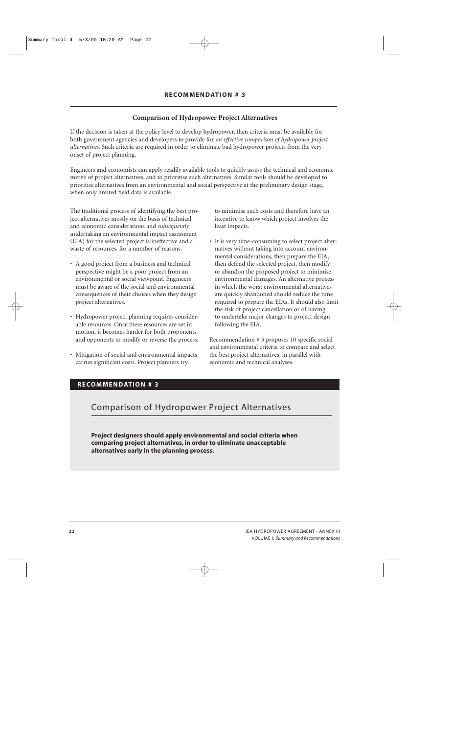## **Comparison of Hydropower Project Alternatives**

If the decision is taken at the policy level to develop hydropower, then criteria must be available for both government agencies and developers to provide for *an effective comparison of hydropower project alternatives.* Such criteria are required in order to eliminate bad hydropower projects from the very onset of project planning.

Engineers and economists can apply readily available tools to quickly assess the technical and economic merits of project alternatives, and to prioritise such alternatives. Similar tools should be developed to prioritise alternatives from an environmental and social perspective at the preliminary design stage, when only limited field data is available.

The traditional process of identifying the best project alternatives mostly on the basis of technical and economic considerations and *subsequently* undertaking an environmental impact assessment (EIA) for the selected project is ineffective and a waste of resources, for a number of reasons.

- A good project from a business and technical perspective might be a poor project from an environmental or social viewpoint. Engineers must be aware of the social and environmental consequences of their choices when they design project alternatives.
- Hydropower project planning requires considerable resources. Once these resources are set in motion, it becomes harder for both proponents and opponents to modify or reverse the process.
- Mitigation of social and environmental impacts carries significant costs. Project planners try

to minimise such costs and therefore have an incentive to know which project involves the least impacts.

• It is very time-consuming to select project alternatives without taking into account environmental considerations, then prepare the EIA, then defend the selected project, then modify or abandon the proposed project to minimise environmental damages. An alternative process in which the worst environmental alternatives are quickly abandoned should reduce the time required to prepare the EIAs. It should also limit the risk of project cancellation or of having to undertake major changes to project design following the EIA.

Recommendation # 3 proposes 10 specific social and environmental criteria to compare and select the best project alternatives, in parallel with economic and technical analyses.

## **RECOMMENDATION # 3**

# Comparison of Hydropower Project Alternatives

**Project designers should apply environmental and social criteria when comparing project alternatives, in order to eliminate unacceptable alternatives early in the planning process.**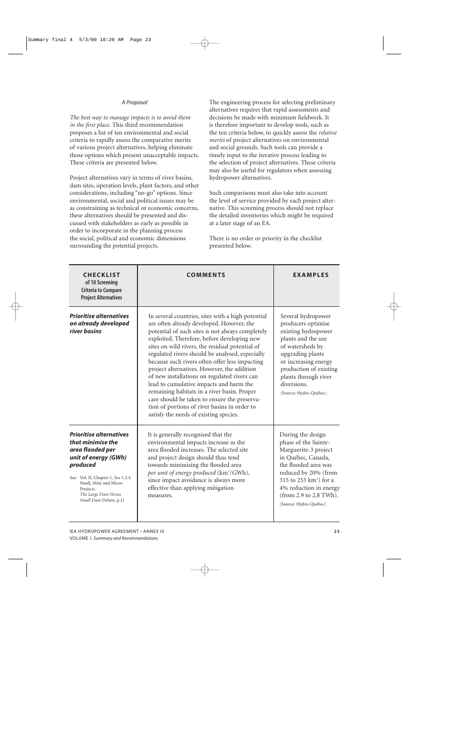#### *A Proposal*

*The best way to manage impacts is to avoid them in the first place.* This third recommendation proposes a list of ten environmental and social criteria to rapidly assess the comparative merits of various project alternatives, helping eliminate those options which present unacceptable impacts. These criteria are presented below.

Project alternatives vary in terms of river basins, dam sites, operation levels, plant factors, and other considerations, including "no-go" options. Since environmental, social and political issues may be as constraining as technical or economic concerns, these alternatives should be presented and discussed with stakeholders as early as possible in order to incorporate in the planning process the social, political and economic dimensions surrounding the potential projects.

The engineering process for selecting preliminary alternatives requires that rapid assessments and decisions be made with minimum fieldwork. It is therefore important to develop tools, such as the ten criteria below, to quickly assess the *relative merits* of project alternatives on environmental and social grounds. Such tools can provide a timely input to the iterative process leading to the selection of project alternatives. These criteria may also be useful for regulators when assessing hydropower alternatives.

Such comparisons must also take into account the level of service provided by each project alternative. This screening process should not replace the detailed inventories which might be required at a later stage of an EA.

There is no order or priority in the checklist presented below.

| <b>CHECKLIST</b><br>of 10 Screening<br><b>Criteria to Compare</b><br><b>Project Alternatives</b>                                                                                                                                          | <b>COMMENTS</b>                                                                                                                                                                                                                                                                                                                                                                                                                                                                                                                                                                                                                                                                              | <b>EXAMPLES</b>                                                                                                                                                                                                                                             |
|-------------------------------------------------------------------------------------------------------------------------------------------------------------------------------------------------------------------------------------------|----------------------------------------------------------------------------------------------------------------------------------------------------------------------------------------------------------------------------------------------------------------------------------------------------------------------------------------------------------------------------------------------------------------------------------------------------------------------------------------------------------------------------------------------------------------------------------------------------------------------------------------------------------------------------------------------|-------------------------------------------------------------------------------------------------------------------------------------------------------------------------------------------------------------------------------------------------------------|
| <b>Prioritise alternatives</b><br>on already developed<br>river basins                                                                                                                                                                    | In several countries, sites with a high potential<br>are often already developed. However, the<br>potential of such sites is not always completely<br>exploited. Therefore, before developing new<br>sites on wild rivers, the residual potential of<br>regulated rivers should be analysed, especially<br>because such rivers often offer less impacting<br>project alternatives. However, the addition<br>of new installations on regulated rivers can<br>lead to cumulative impacts and harm the<br>remaining habitats in a river basin. Proper<br>care should be taken to ensure the preserva-<br>tion of portions of river basins in order to<br>satisfy the needs of existing species. | Several hydropower<br>producers optimise<br>existing hydropower<br>plants and the use<br>of watersheds by<br>upgrading plants<br>or increasing energy<br>production of existing<br>plants through river<br>diversions.<br>(Source: Hydro-Québec)            |
| <b>Prioritise alternatives</b><br>that minimise the<br>area flooded per<br>unit of energy (GWh)<br>produced<br>See: Vol. II, Chapter 1, Sec 1.2.4<br>Small, Mini and Micro<br>Projects.<br>The Large Dam Versus<br>Small Dam Debate, p.21 | It is generally recognised that the<br>environmental impacts increase as the<br>area flooded increases. The selected site<br>and project design should thus tend<br>towards minimising the flooded area<br>per unit of energy produced (km <sup>2</sup> /GWh),<br>since impact avoidance is always more<br>effective than applying mitigation<br>measures.                                                                                                                                                                                                                                                                                                                                   | During the design<br>phase of the Sainte-<br>Marguerite-3 project<br>in Québec, Canada,<br>the flooded area was<br>reduced by 20% (from<br>315 to 253 km <sup>2</sup> ) for a<br>4% reduction in energy<br>(from 2.9 to 2.8 TWh).<br>(Source: Hydro-Québec) |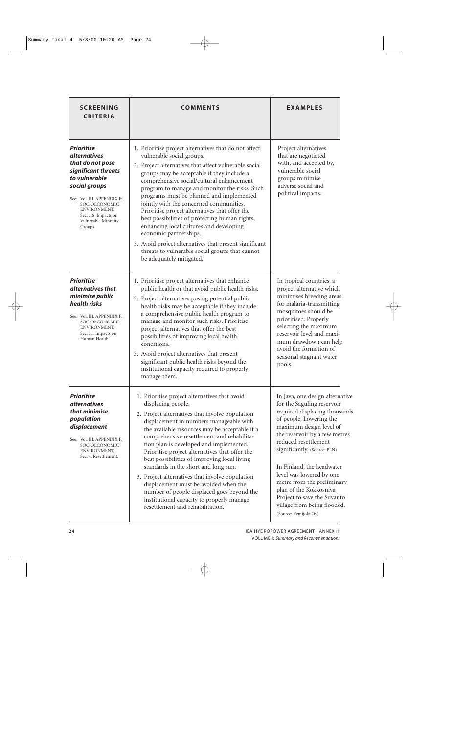| <b>SCREENING</b><br><b>CRITERIA</b>                                                                                                                                                                                                          | <b>COMMENTS</b>                                                                                                                                                                                                                                                                                                                                                                                                                                                                                                                                                                                                                                                                                  | <b>EXAMPLES</b>                                                                                                                                                                                                                                                                                                                                                                                                                                       |
|----------------------------------------------------------------------------------------------------------------------------------------------------------------------------------------------------------------------------------------------|--------------------------------------------------------------------------------------------------------------------------------------------------------------------------------------------------------------------------------------------------------------------------------------------------------------------------------------------------------------------------------------------------------------------------------------------------------------------------------------------------------------------------------------------------------------------------------------------------------------------------------------------------------------------------------------------------|-------------------------------------------------------------------------------------------------------------------------------------------------------------------------------------------------------------------------------------------------------------------------------------------------------------------------------------------------------------------------------------------------------------------------------------------------------|
| <b>Prioritise</b><br><i>alternatives</i><br>that do not pose<br>significant threats<br>to vulnerable<br>social groups<br>See: Vol. III. APPENDIX F:<br>SOCIOECONOMIC<br>ENVIRONMENT,<br>Sec. 3.6 Impacts on<br>Vulnerable Minority<br>Groups | 1. Prioritise project alternatives that do not affect<br>vulnerable social groups.<br>2. Project alternatives that affect vulnerable social<br>groups may be acceptable if they include a<br>comprehensive social/cultural enhancement<br>program to manage and monitor the risks. Such<br>programs must be planned and implemented<br>jointly with the concerned communities.<br>Prioritise project alternatives that offer the<br>best possibilities of protecting human rights,<br>enhancing local cultures and developing<br>economic partnerships.<br>3. Avoid project alternatives that present significant<br>threats to vulnerable social groups that cannot<br>be adequately mitigated. | Project alternatives<br>that are negotiated<br>with, and accepted by,<br>vulnerable social<br>groups minimise<br>adverse social and<br>political impacts.                                                                                                                                                                                                                                                                                             |
| <b>Prioritise</b><br>alternatives that<br>minimise public<br>health risks<br>See: Vol. III. APPENDIX F:<br>SOCIOECONOMIC<br>ENVIRONMENT,<br>Sec. 3.1 Impacts on<br>Human Health                                                              | 1. Prioritise project alternatives that enhance<br>public health or that avoid public health risks.<br>2. Project alternatives posing potential public<br>health risks may be acceptable if they include<br>a comprehensive public health program to<br>manage and monitor such risks. Prioritise<br>project alternatives that offer the best<br>possibilities of improving local health<br>conditions.<br>3. Avoid project alternatives that present<br>significant public health risks beyond the<br>institutional capacity required to properly<br>manage them.                                                                                                                               | In tropical countries, a<br>project alternative which<br>minimises breeding areas<br>for malaria-transmitting<br>mosquitoes should be<br>prioritised. Properly<br>selecting the maximum<br>reservoir level and maxi-<br>mum drawdown can help<br>avoid the formation of<br>seasonal stagnant water<br>pools.                                                                                                                                          |
| <b>Prioritise</b><br><i>alternatives</i><br>that minimise<br>population<br>displacement<br>See: Vol. III. APPENDIX F:<br>SOCIOECONOMIC<br>ENVIRONMENT,<br>Sec. 4. Resettlement.                                                              | 1. Prioritise project alternatives that avoid<br>displacing people.<br>2. Project alternatives that involve population<br>displacement in numbers manageable with<br>the available resources may be acceptable if a<br>comprehensive resettlement and rehabilita-<br>tion plan is developed and implemented.<br>Prioritise project alternatives that offer the<br>best possibilities of improving local living<br>standards in the short and long run.<br>3. Project alternatives that involve population<br>displacement must be avoided when the<br>number of people displaced goes beyond the<br>institutional capacity to properly manage<br>resettlement and rehabilitation.                | In Java, one design alternative<br>for the Saguling reservoir<br>required displacing thousands<br>of people. Lowering the<br>maximum design level of<br>the reservoir by a few metres<br>reduced resettlement<br>significantly. (Source: PLN)<br>In Finland, the headwater<br>level was lowered by one<br>metre from the preliminary<br>plan of the Kokkosniva<br>Project to save the Suvanto<br>village from being flooded.<br>(Source: Kemijoki Oy) |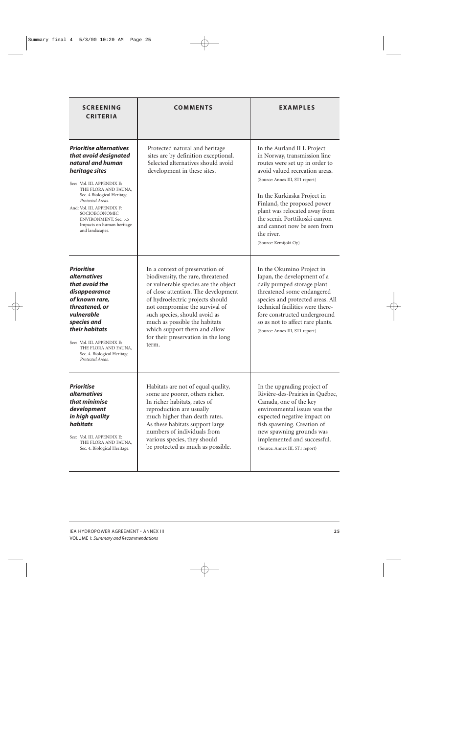| <b>SCREENING</b><br><b>CRITERIA</b>                                                                                                                                                                                                                                                                                                    | <b>COMMENTS</b>                                                                                                                                                                                                                                                                                                                                                             | EXAMPLES                                                                                                                                                                                                                                                                                                                                                                 |
|----------------------------------------------------------------------------------------------------------------------------------------------------------------------------------------------------------------------------------------------------------------------------------------------------------------------------------------|-----------------------------------------------------------------------------------------------------------------------------------------------------------------------------------------------------------------------------------------------------------------------------------------------------------------------------------------------------------------------------|--------------------------------------------------------------------------------------------------------------------------------------------------------------------------------------------------------------------------------------------------------------------------------------------------------------------------------------------------------------------------|
| <b>Prioritise alternatives</b><br>that avoid designated<br>natural and human<br>heritage sites<br>See: Vol. III. APPENDIX E:<br>THE FLORA AND FAUNA,<br>Sec. 4 Biological Heritage.<br>Protected Areas.<br>And: Vol. III. APPENDIX F:<br>SOCIOECONOMIC<br><b>ENVIRONMENT, Sec. 5.5</b><br>Impacts on human heritage<br>and landscapes. | Protected natural and heritage<br>sites are by definition exceptional.<br>Selected alternatives should avoid<br>development in these sites.                                                                                                                                                                                                                                 | In the Aurland II L Project<br>in Norway, transmission line<br>routes were set up in order to<br>avoid valued recreation areas.<br>(Source: Annex III, ST1 report)<br>In the Kurkiaska Project in<br>Finland, the proposed power<br>plant was relocated away from<br>the scenic Porttikoski canyon<br>and cannot now be seen from<br>the river.<br>(Source: Kemijoki Oy) |
| <b>Prioritise</b><br><i>alternatives</i><br>that avoid the<br>disappearance<br>of known rare,<br>threatened, or<br>vulnerable<br>species and<br>their habitats<br>See: Vol. III. APPENDIX E:<br>THE FLORA AND FAUNA,<br>Sec. 4. Biological Heritage.<br>Protected Areas.                                                               | In a context of preservation of<br>biodiversity, the rare, threatened<br>or vulnerable species are the object<br>of close attention. The development<br>of hydroelectric projects should<br>not compromise the survival of<br>such species, should avoid as<br>much as possible the habitats<br>which support them and allow<br>for their preservation in the long<br>term. | In the Okumino Project in<br>Japan, the development of a<br>daily pumped storage plant<br>threatened some endangered<br>species and protected areas. All<br>technical facilities were there-<br>fore constructed underground<br>so as not to affect rare plants.<br>(Source: Annex III, ST1 report)                                                                      |
| <b>Prioritise</b><br><i>alternatives</i><br>that minimise<br>development<br>in high quality<br>habitats<br>See: Vol. III. APPENDIX E:<br>THE FLORA AND FAUNA,<br>Sec. 4. Biological Heritage.                                                                                                                                          | Habitats are not of equal quality,<br>some are poorer, others richer.<br>In richer habitats, rates of<br>reproduction are usually<br>much higher than death rates.<br>As these habitats support large<br>numbers of individuals from<br>various species, they should<br>be protected as much as possible.                                                                   | In the upgrading project of<br>Rivière-des-Prairies in Québec,<br>Canada, one of the key<br>environmental issues was the<br>expected negative impact on<br>fish spawning. Creation of<br>new spawning grounds was<br>implemented and successful.<br>(Source: Annex III, ST1 report)                                                                                      |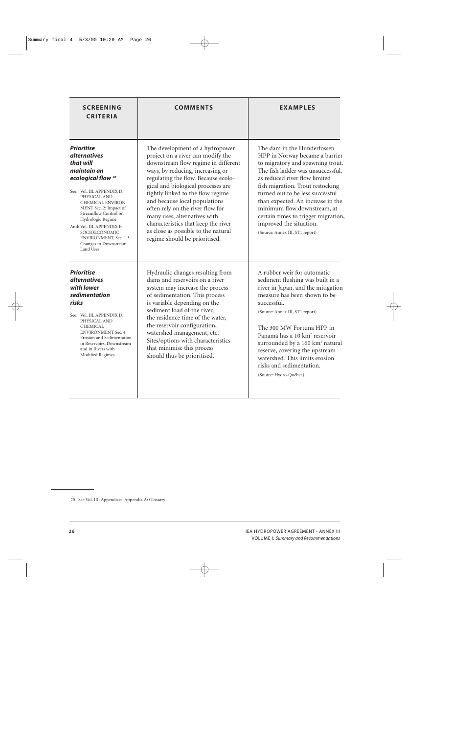| <b>SCREENING</b><br><b>CRITERIA</b>                                                                                                                                                                                                                                                                                                                            | <b>COMMENTS</b>                                                                                                                                                                                                                                                                                                                                                                                                                                                                       | <b>EXAMPLES</b>                                                                                                                                                                                                                                                                                                                                                                                                                            |
|----------------------------------------------------------------------------------------------------------------------------------------------------------------------------------------------------------------------------------------------------------------------------------------------------------------------------------------------------------------|---------------------------------------------------------------------------------------------------------------------------------------------------------------------------------------------------------------------------------------------------------------------------------------------------------------------------------------------------------------------------------------------------------------------------------------------------------------------------------------|--------------------------------------------------------------------------------------------------------------------------------------------------------------------------------------------------------------------------------------------------------------------------------------------------------------------------------------------------------------------------------------------------------------------------------------------|
| <b>Prioritise</b><br><i>alternatives</i><br>that will<br>maintain an<br>ecological flow <sup>20</sup><br>See: Vol. III. APPENDIX D:<br>PHYSICAL AND<br>CHEMICAL ENVIRON-<br>MENT Sec. 2: Impact of<br>Streamflow Control on<br>Hydrologic Regime<br>And: Vol. III. APPENDIX F:<br>SOCIOECONOMIC<br>ENVIRONMENT, Sec. 1.3<br>Changes to Downstream<br>Land Uses | The development of a hydropower<br>project on a river can modify the<br>downstream flow regime in different<br>ways, by reducing, increasing or<br>regulating the flow. Because ecolo-<br>gical and biological processes are<br>tightly linked to the flow regime<br>and because local populations<br>often rely on the river flow for<br>many uses, alternatives with<br>characteristics that keep the river<br>as close as possible to the natural<br>regime should be prioritised. | The dam in the Hunderfossen<br>HPP in Norway became a barrier<br>to migratory and spawning trout.<br>The fish ladder was unsuccessful,<br>as reduced river flow limited<br>fish migration. Trout restocking<br>turned out to be less successful<br>than expected. An increase in the<br>minimum flow downstream, at<br>certain times to trigger migration,<br>improved the situation.<br>(Source: Annex III, ST1 report)                   |
| <b>Prioritise</b><br><i>alternatives</i><br>with lower<br>sedimentation<br>risks<br>See: Vol. III. APPENDIX D:<br>PHYSICAL AND<br><b>CHEMICAL</b><br><b>ENVIRONMENT Sec. 4</b><br>Erosion and Sedimentation<br>in Reservoirs, Downstream<br>and in Rivers with<br>Modified Regimes                                                                             | Hydraulic changes resulting from<br>dams and reservoirs on a river<br>system may increase the process<br>of sedimentation. This process<br>is variable depending on the<br>sediment load of the river,<br>the residence time of the water,<br>the reservoir configuration,<br>watershed management, etc.<br>Sites/options with characteristics<br>that minimise this process<br>should thus be prioritised.                                                                           | A rubber weir for automatic<br>sediment flushing was built in a<br>river in Japan, and the mitigation<br>measure has been shown to be<br>successful.<br>(Source: Annex III, ST1 report)<br>The 300 MW Fortuna HPP in<br>Panamá has a 10 km <sup>2</sup> reservoir<br>surrounded by a 160 km <sup>2</sup> natural<br>reserve, covering the upstream<br>watershed. This limits erosion<br>risks and sedimentation.<br>(Source: Hydro-Québec) |

<sup>20</sup> See Vol. III: Appendices. Appendix A: Glossary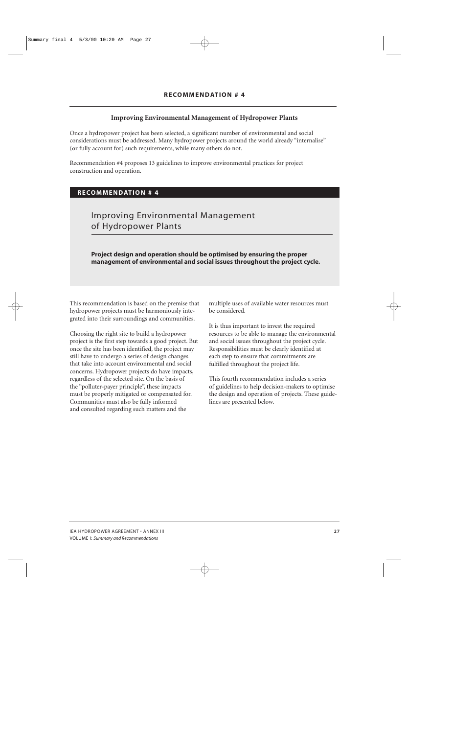## **Improving Environmental Management of Hydropower Plants**

Once a hydropower project has been selected, a significant number of environmental and social considerations must be addressed. Many hydropower projects around the world already "internalise" (or fully account for) such requirements, while many others do not.

Recommendation #4 proposes 13 guidelines to improve environmental practices for project construction and operation.

## **RECOMMENDATION # 4**

# Improving Environmental Management of Hydropower Plants

**Project design and operation should be optimised by ensuring the proper management of environmental and social issues throughout the project cycle.**

This recommendation is based on the premise that hydropower projects must be harmoniously integrated into their surroundings and communities.

Choosing the right site to build a hydropower project is the first step towards a good project. But once the site has been identified, the project may still have to undergo a series of design changes that take into account environmental and social concerns. Hydropower projects do have impacts, regardless of the selected site. On the basis of the "polluter-payer principle", these impacts must be properly mitigated or compensated for. Communities must also be fully informed and consulted regarding such matters and the

multiple uses of available water resources must be considered.

It is thus important to invest the required resources to be able to manage the environmental and social issues throughout the project cycle. Responsibilities must be clearly identified at each step to ensure that commitments are fulfilled throughout the project life.

This fourth recommendation includes a series of guidelines to help decision-makers to optimise the design and operation of projects. These guidelines are presented below.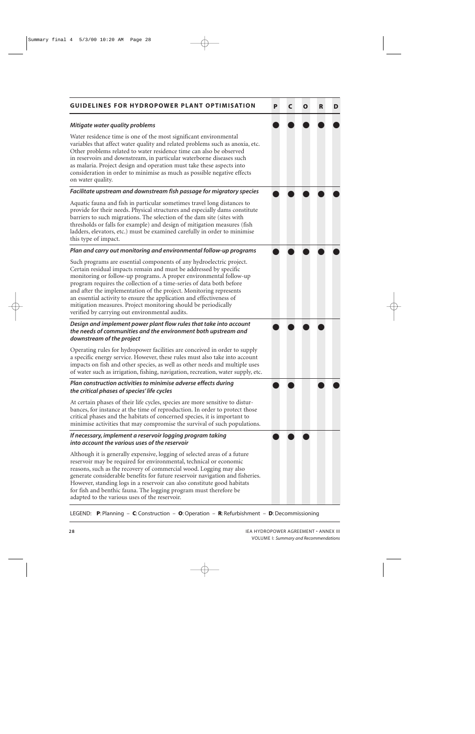| <b>GUIDELINES FOR HYDROPOWER PLANT OPTIMISATION</b>                                                                                                                                                                                                                                                                                                                                                                                                                                                                                                       | P | C | O | R | D |
|-----------------------------------------------------------------------------------------------------------------------------------------------------------------------------------------------------------------------------------------------------------------------------------------------------------------------------------------------------------------------------------------------------------------------------------------------------------------------------------------------------------------------------------------------------------|---|---|---|---|---|
| Mitigate water quality problems                                                                                                                                                                                                                                                                                                                                                                                                                                                                                                                           |   |   |   |   |   |
| Water residence time is one of the most significant environmental<br>variables that affect water quality and related problems such as anoxia, etc.<br>Other problems related to water residence time can also be observed<br>in reservoirs and downstream, in particular waterborne diseases such<br>as malaria. Project design and operation must take these aspects into<br>consideration in order to minimise as much as possible negative effects<br>on water quality.                                                                                |   |   |   |   |   |
| Facilitate upstream and downstream fish passage for migratory species                                                                                                                                                                                                                                                                                                                                                                                                                                                                                     |   |   |   |   |   |
| Aquatic fauna and fish in particular sometimes travel long distances to<br>provide for their needs. Physical structures and especially dams constitute<br>barriers to such migrations. The selection of the dam site (sites with<br>thresholds or falls for example) and design of mitigation measures (fish<br>ladders, elevators, etc.) must be examined carefully in order to minimise<br>this type of impact.                                                                                                                                         |   |   |   |   |   |
| Plan and carry out monitoring and environmental follow-up programs                                                                                                                                                                                                                                                                                                                                                                                                                                                                                        |   |   |   |   |   |
| Such programs are essential components of any hydroelectric project.<br>Certain residual impacts remain and must be addressed by specific<br>monitoring or follow-up programs. A proper environmental follow-up<br>program requires the collection of a time-series of data both before<br>and after the implementation of the project. Monitoring represents<br>an essential activity to ensure the application and effectiveness of<br>mitigation measures. Project monitoring should be periodically<br>verified by carrying out environmental audits. |   |   |   |   |   |
| Design and implement power plant flow rules that take into account<br>the needs of communities and the environment both upstream and<br>downstream of the project                                                                                                                                                                                                                                                                                                                                                                                         |   |   |   |   |   |
| Operating rules for hydropower facilities are conceived in order to supply<br>a specific energy service. However, these rules must also take into account<br>impacts on fish and other species, as well as other needs and multiple uses<br>of water such as irrigation, fishing, navigation, recreation, water supply, etc.                                                                                                                                                                                                                              |   |   |   |   |   |
| Plan construction activities to minimise adverse effects during<br>the critical phases of species' life cycles                                                                                                                                                                                                                                                                                                                                                                                                                                            |   |   |   |   |   |
| At certain phases of their life cycles, species are more sensitive to distur-<br>bances, for instance at the time of reproduction. In order to protect those<br>critical phases and the habitats of concerned species, it is important to<br>minimise activities that may compromise the survival of such populations.                                                                                                                                                                                                                                    |   |   |   |   |   |
| If necessary, implement a reservoir logging program taking<br>into account the various uses of the reservoir                                                                                                                                                                                                                                                                                                                                                                                                                                              |   |   |   |   |   |
| Although it is generally expensive, logging of selected areas of a future<br>reservoir may be required for environmental, technical or economic<br>reasons, such as the recovery of commercial wood. Logging may also<br>generate considerable benefits for future reservoir navigation and fisheries.<br>However, standing logs in a reservoir can also constitute good habitats<br>for fish and benthic fauna. The logging program must therefore be<br>adapted to the various uses of the reservoir.                                                   |   |   |   |   |   |

LEGEND: **P**: Planning – **C**: Construction – **O**:Operation – **R**: Refurbishment – **D**:Decommissioning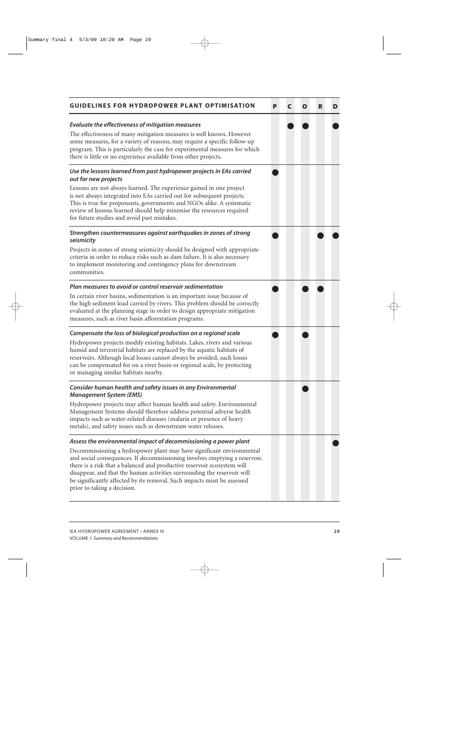| <b>GUIDELINES FOR HYDROPOWER PLANT OPTIMISATION</b>                                                                                                                                                                                                                                                                                                                                                                 | P | C | O | R | D |
|---------------------------------------------------------------------------------------------------------------------------------------------------------------------------------------------------------------------------------------------------------------------------------------------------------------------------------------------------------------------------------------------------------------------|---|---|---|---|---|
| Evaluate the effectiveness of mitigation measures<br>The effectiveness of many mitigation measures is well known. However<br>some measures, for a variety of reasons, may require a specific follow-up<br>program. This is particularly the case for experimental measures for which<br>there is little or no experience available from other projects.                                                             |   |   |   |   |   |
| Use the lessons learned from past hydropower projects in EAs carried<br>out for new projects                                                                                                                                                                                                                                                                                                                        |   |   |   |   |   |
| Lessons are not always learned. The experience gained in one project<br>is not always integrated into EAs carried out for subsequent projects.<br>This is true for proponents, governments and NGOs alike. A systematic<br>review of lessons learned should help minimise the resources required<br>for future studies and avoid past mistakes.                                                                     |   |   |   |   |   |
| Strengthen countermeasures against earthquakes in zones of strong<br>seismicity                                                                                                                                                                                                                                                                                                                                     |   |   |   |   |   |
| Projects in zones of strong seismicity should be designed with appropriate<br>criteria in order to reduce risks such as dam failure. It is also necessary<br>to implement monitoring and contingency plans for downstream<br>communities.                                                                                                                                                                           |   |   |   |   |   |
| Plan measures to avoid or control reservoir sedimentation                                                                                                                                                                                                                                                                                                                                                           |   |   |   |   |   |
| In certain river basins, sedimentation is an important issue because of<br>the high sediment load carried by rivers. This problem should be correctly<br>evaluated at the planning stage in order to design appropriate mitigation<br>measures, such as river basin afforestation programs.                                                                                                                         |   |   |   |   |   |
| Compensate the loss of biological production on a regional scale                                                                                                                                                                                                                                                                                                                                                    |   |   |   |   |   |
| Hydropower projects modify existing habitats. Lakes, rivers and various<br>humid and terrestrial habitats are replaced by the aquatic habitats of<br>reservoirs. Although local losses cannot always be avoided, such losses<br>can be compensated for on a river basin or regional scale, by protecting<br>or managing similar habitats nearby.                                                                    |   |   |   |   |   |
| Consider human health and safety issues in any Environmental<br><b>Management System (EMS)</b>                                                                                                                                                                                                                                                                                                                      |   |   |   |   |   |
| Hydropower projects may affect human health and safety. Environmental<br>Management Systems should therefore address potential adverse health<br>impacts such as water-related diseases (malaria or presence of heavy<br>metals), and safety issues such as downstream water releases.                                                                                                                              |   |   |   |   |   |
| Assess the environmental impact of decommissioning a power plant                                                                                                                                                                                                                                                                                                                                                    |   |   |   |   |   |
| Decommissioning a hydropower plant may have significant environmental<br>and social consequences. If decommissioning involves emptying a reservoir,<br>there is a risk that a balanced and productive reservoir ecosystem will<br>disappear, and that the human activities surrounding the reservoir will<br>be significantly affected by its removal. Such impacts must be assessed<br>prior to taking a decision. |   |   |   |   |   |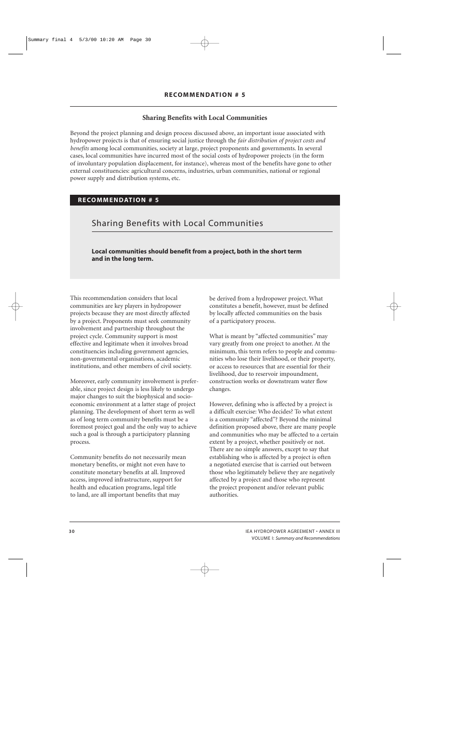## **Sharing Benefits with Local Communities**

Beyond the project planning and design process discussed above, an important issue associated with hydropower projects is that of ensuring social justice through the *fair distribution of project costs and benefits* among local communities, society at large, project proponents and governments. In several cases, local communities have incurred most of the social costs of hydropower projects (in the form of involuntary population displacement, for instance), whereas most of the benefits have gone to other external constituencies: agricultural concerns, industries, urban communities, national or regional power supply and distribution systems, etc.

## **RECOMMENDATION # 5**

## Sharing Benefits with Local Communities

**Local communities should benefit from a project, both in the short term and in the long term.**

This recommendation considers that local communities are key players in hydropower projects because they are most directly affected by a project. Proponents must seek community involvement and partnership throughout the project cycle. Community support is most effective and legitimate when it involves broad constituencies including government agencies, non-governmental organisations, academic institutions, and other members of civil society.

Moreover, early community involvement is preferable, since project design is less likely to undergo major changes to suit the biophysical and socioeconomic environment at a latter stage of project planning. The development of short term as well as of long term community benefits must be a foremost project goal and the only way to achieve such a goal is through a participatory planning process.

Community benefits do not necessarily mean monetary benefits, or might not even have to constitute monetary benefits at all. Improved access, improved infrastructure, support for health and education programs, legal title to land, are all important benefits that may

be derived from a hydropower project. What constitutes a benefit, however, must be defined by locally affected communities on the basis of a participatory process.

What is meant by "affected communities" may vary greatly from one project to another. At the minimum, this term refers to people and communities who lose their livelihood, or their property, or access to resources that are essential for their livelihood, due to reservoir impoundment, construction works or downstream water flow changes.

However, defining who is affected by a project is a difficult exercise: Who decides? To what extent is a community "affected"? Beyond the minimal definition proposed above, there are many people and communities who may be affected to a certain extent by a project, whether positively or not. There are no simple answers, except to say that establishing who is affected by a project is often a negotiated exercise that is carried out between those who legitimately believe they are negatively affected by a project and those who represent the project proponent and/or relevant public authorities.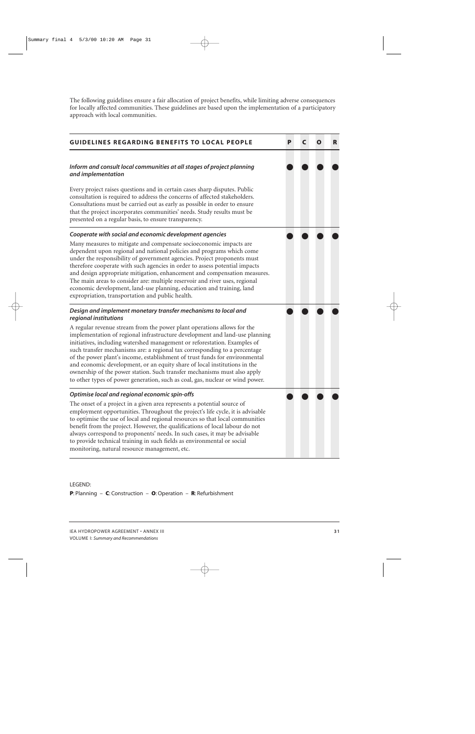The following guidelines ensure a fair allocation of project benefits, while limiting adverse consequences for locally affected communities. These guidelines are based upon the implementation of a participatory approach with local communities.



#### LEGEND:

**P**: Planning – **C**: Construction – **O**:Operation – **R**: Refurbishment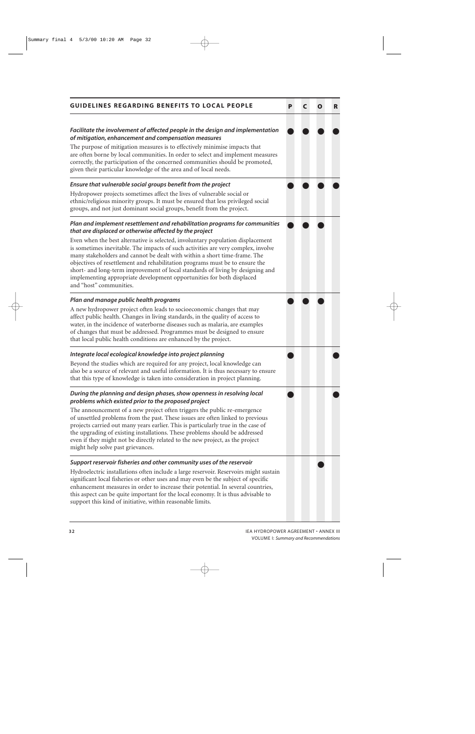| <b>GUIDELINES REGARDING BENEFITS TO LOCAL PEOPLE</b>                                                                                                                                                                                                                                                                                                                                                                                                                                                                    | P | C | O | R |
|-------------------------------------------------------------------------------------------------------------------------------------------------------------------------------------------------------------------------------------------------------------------------------------------------------------------------------------------------------------------------------------------------------------------------------------------------------------------------------------------------------------------------|---|---|---|---|
| Facilitate the involvement of affected people in the design and implementation<br>of mitigation, enhancement and compensation measures<br>The purpose of mitigation measures is to effectively minimise impacts that<br>are often borne by local communities. In order to select and implement measures<br>correctly, the participation of the concerned communities should be promoted,<br>given their particular knowledge of the area and of local needs.                                                            |   |   |   |   |
| Ensure that vulnerable social groups benefit from the project                                                                                                                                                                                                                                                                                                                                                                                                                                                           |   |   |   |   |
| Hydropower projects sometimes affect the lives of vulnerable social or<br>ethnic/religious minority groups. It must be ensured that less privileged social<br>groups, and not just dominant social groups, benefit from the project.                                                                                                                                                                                                                                                                                    |   |   |   |   |
| Plan and implement resettlement and rehabilitation programs for communities<br>that are displaced or otherwise affected by the project                                                                                                                                                                                                                                                                                                                                                                                  |   |   |   |   |
| Even when the best alternative is selected, involuntary population displacement<br>is sometimes inevitable. The impacts of such activities are very complex, involve<br>many stakeholders and cannot be dealt with within a short time-frame. The<br>objectives of resettlement and rehabilitation programs must be to ensure the<br>short- and long-term improvement of local standards of living by designing and<br>implementing appropriate development opportunities for both displaced<br>and "host" communities. |   |   |   |   |
| Plan and manage public health programs                                                                                                                                                                                                                                                                                                                                                                                                                                                                                  |   |   |   |   |
| A new hydropower project often leads to socioeconomic changes that may<br>affect public health. Changes in living standards, in the quality of access to<br>water, in the incidence of waterborne diseases such as malaria, are examples<br>of changes that must be addressed. Programmes must be designed to ensure<br>that local public health conditions are enhanced by the project.                                                                                                                                |   |   |   |   |
| Integrate local ecological knowledge into project planning                                                                                                                                                                                                                                                                                                                                                                                                                                                              |   |   |   |   |
| Beyond the studies which are required for any project, local knowledge can<br>also be a source of relevant and useful information. It is thus necessary to ensure<br>that this type of knowledge is taken into consideration in project planning.                                                                                                                                                                                                                                                                       |   |   |   |   |
| During the planning and design phases, show openness in resolving local<br>problems which existed prior to the proposed project                                                                                                                                                                                                                                                                                                                                                                                         |   |   |   |   |
| The announcement of a new project often triggers the public re-emergence<br>of unsettled problems from the past. These issues are often linked to previous<br>projects carried out many years earlier. This is particularly true in the case of<br>the upgrading of existing installations. These problems should be addressed<br>even if they might not be directly related to the new project, as the project<br>might help solve past grievances.                                                                    |   |   |   |   |
| Support reservoir fisheries and other community uses of the reservoir                                                                                                                                                                                                                                                                                                                                                                                                                                                   |   |   |   |   |
| Hydroelectric installations often include a large reservoir. Reservoirs might sustain<br>significant local fisheries or other uses and may even be the subject of specific<br>enhancement measures in order to increase their potential. In several countries,<br>this aspect can be quite important for the local economy. It is thus advisable to<br>support this kind of initiative, within reasonable limits.                                                                                                       |   |   |   |   |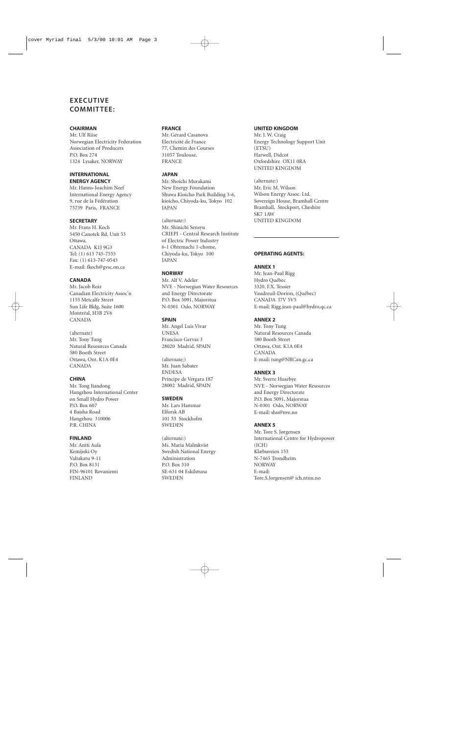## **EXECUTIVE COMMITTEE:**

#### **CHAIRMAN**

Mr. Ulf Riise Norwegian Electricity Federation Association of Producers P.O. Box 274 1324 Lysaker, NORWAY

#### **INTERNATIONAL ENERGY AGENCY**

Mr. Hanns-Joachim Neef International Energy Agency 9, rue de la Fédération 75739 Paris, FRANCE

#### **SECRETARY**

Mr. Frans H. Koch 5450 Canotek Rd, Unit 53 Ottawa, CANADA K1J 9G3 Tel: (1) 613 745-7553 Fax: (1) 613-747-0543 E-mail: fkoch@gvsc.on.ca

#### **CANADA**

Mr. Jacob Roiz Canadian Electricity Assoc'n 1155 Metcalfe Street Sun Life Bldg, Suite 1600 Montréal, H3B 2V6 CANADA

(alternate) Mr. Tony Tung Natural Resources Canada 580 Booth Street Ottawa, Ont. K1A 0E4 CANADA

#### **CHINA**

Mr. Tong Jiandong Hangzhou International Center on Small Hydro Power P.O. Box 607 4 Baisha Road Hangzhou 310006 P.R. CHINA

#### **FINLAND**

Mr. Antti Aula Kemijoki Oy Valtakatu 9-11 P.O. Box 8131 FIN-96101 Rovaniemi FINLAND

#### **FRANCE**

Mr. Gérard Casanova Electricité de France 77, Chemin des Courses 31057 Toulouse, FRANCE

#### **JAPAN**

Mr. Shoichi Murakami New Energy Foundation Shuwa Kioicho Park Building 3-6, kioicho, Chiyoda-ku, Tokyo 102 JAPAN

(alternate:) Mr. Shinichi Sensyu CRIEPI - Central Research Institute of Electric Power Industry 6-1 Ohtemachi 1-chome, Chiyoda-ku, Tokyo 100 JAPAN

#### **NORWAY**

Mr. Alf V. Adeler NVE - Norwegian Water Resources and Energy Directorate P.O. Box 5091, Majorstua N-0301 Oslo, NORWAY

#### **SPAIN**

Mr. Angel Luis Vivar UNESA Francisco Gervas 3 28020 Madrid, SPAIN

(alternate:) Mr. Juan Sabater ENDESA Príncipe de Vergara 187 28002 Madrid, SPAIN

#### **SWEDEN**

Mr. Lars Hammar Elforsk AB 101 53 Stockholm SWEDEN

(alternate:) Ms. Maria Malmkvist Swedish National Energy Administration P.O. Box 310 SE-631 04 Eskilstuna SWEDEN

#### **UNITED KINGDOM**

Mr. J. W. Craig Energy Technology Support Unit (ETSU) Harwell, Didcot Oxfordshire OX11 0RA UNITED KINGDOM

(alternate:) Mr. Eric M. Wilson Wilson Energy Assoc. Ltd. Sovereign House, Bramhall Centre Bramhall, Stockport, Cheshire SK7 1AW UNITED KINGDOM

#### **OPERATING AGENTS:**

#### **ANNEX 1**

Mr. Jean-Paul Rigg Hydro Québec 3320, F.X. Tessier Vaudreuil-Dorion, (Québec) CANADA J7V 5V5 E-mail: Rigg.jean-paul@hydro.qc.ca

#### **ANNEX 2**

Mr. Tony Tung Natural Resources Canada 580 Booth Street Ottawa, Ont. K1A 0E4 CANADA E-mail: tung@NRCan.gc.ca

#### **ANNEX 3**

Mr. Sverre Husebye NVE - Norwegian Water Resources and Energy Directorate P.O. Box 5091, Majorstua N-0301 Oslo, NORWAY E-mail: shu@nve.no

#### **ANNEX 5**

Mr. Tore S. Jørgensen International Centre for Hydropower (ICH) Klæbuveien 153 N-7465 Trondheim NORWAY E-mail: Tore.S.Jorgensen@ ich.ntnu.no